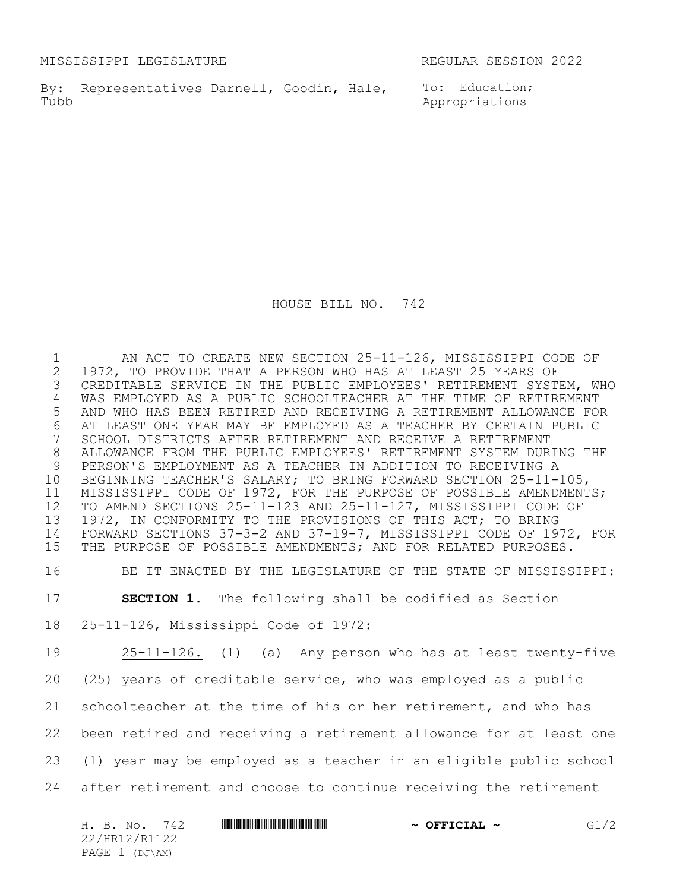MISSISSIPPI LEGISLATURE REGULAR SESSION 2022

By: Representatives Darnell, Goodin, Hale, To: Education; Tubb

Appropriations

HOUSE BILL NO. 742

1 AN ACT TO CREATE NEW SECTION 25-11-126, MISSISSIPPI CODE OF<br>2 1972, TO PROVIDE THAT A PERSON WHO HAS AT LEAST 25 YEARS OF 1972, TO PROVIDE THAT A PERSON WHO HAS AT LEAST 25 YEARS OF CREDITABLE SERVICE IN THE PUBLIC EMPLOYEES' RETIREMENT SYSTEM, WHO WAS EMPLOYED AS A PUBLIC SCHOOLTEACHER AT THE TIME OF RETIREMENT AND WHO HAS BEEN RETIRED AND RECEIVING A RETIREMENT ALLOWANCE FOR 6 AT LEAST ONE YEAR MAY BE EMPLOYED AS A TEACHER BY CERTAIN PUBLIC<br>7 SCHOOL DISTRICTS AFTER RETIREMENT AND RECEIVE A RETIREMENT SCHOOL DISTRICTS AFTER RETIREMENT AND RECEIVE A RETIREMENT ALLOWANCE FROM THE PUBLIC EMPLOYEES' RETIREMENT SYSTEM DURING THE PERSON'S EMPLOYMENT AS A TEACHER IN ADDITION TO RECEIVING A BEGINNING TEACHER'S SALARY; TO BRING FORWARD SECTION 25-11-105, MISSISSIPPI CODE OF 1972, FOR THE PURPOSE OF POSSIBLE AMENDMENTS; TO AMEND SECTIONS 25-11-123 AND 25-11-127, MISSISSIPPI CODE OF 1972, IN CONFORMITY TO THE PROVISIONS OF THIS ACT; TO BRING FORWARD SECTIONS 37-3-2 AND 37-19-7, MISSISSIPPI CODE OF 1972, FOR THE PURPOSE OF POSSIBLE AMENDMENTS; AND FOR RELATED PURPOSES.

BE IT ENACTED BY THE LEGISLATURE OF THE STATE OF MISSISSIPPI:

**SECTION 1.** The following shall be codified as Section

25-11-126, Mississippi Code of 1972:

 25-11-126. (1) (a) Any person who has at least twenty-five (25) years of creditable service, who was employed as a public schoolteacher at the time of his or her retirement, and who has been retired and receiving a retirement allowance for at least one (1) year may be employed as a teacher in an eligible public school after retirement and choose to continue receiving the retirement

| 742<br>H. B. No. | <u> I III III III III III III III II III II III II III III III III III III III III III III III III III III III I</u> | $\sim$ OFFICIAL $\sim$ | G1/2 |
|------------------|----------------------------------------------------------------------------------------------------------------------|------------------------|------|
| 22/HR12/R1122    |                                                                                                                      |                        |      |
| PAGE 1 (DJ\AM)   |                                                                                                                      |                        |      |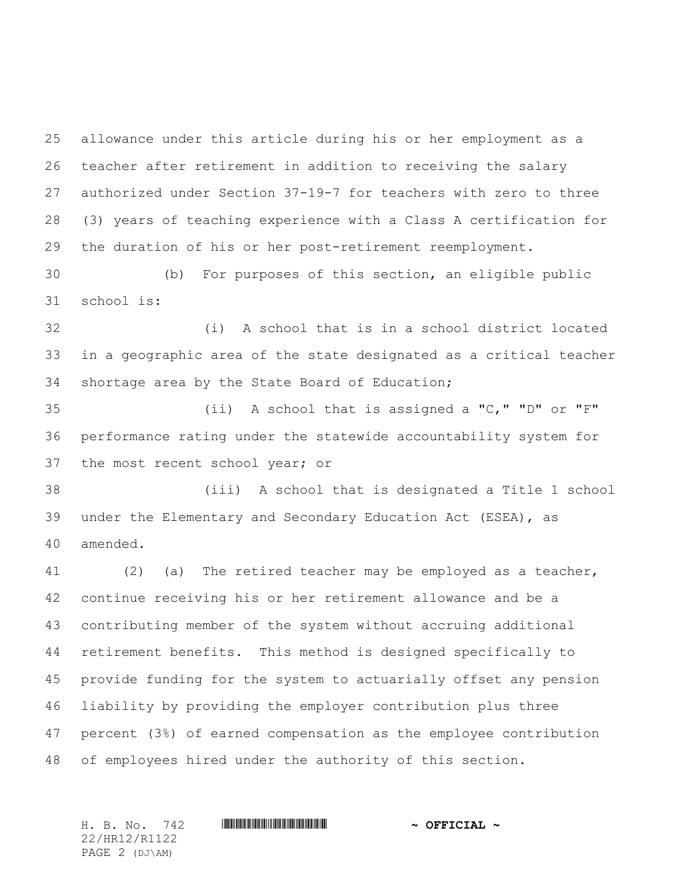allowance under this article during his or her employment as a teacher after retirement in addition to receiving the salary authorized under Section 37-19-7 for teachers with zero to three (3) years of teaching experience with a Class A certification for the duration of his or her post-retirement reemployment.

 (b) For purposes of this section, an eligible public school is:

 (i) A school that is in a school district located in a geographic area of the state designated as a critical teacher shortage area by the State Board of Education;

 (ii) A school that is assigned a "C," "D" or "F" performance rating under the statewide accountability system for the most recent school year; or

 (iii) A school that is designated a Title 1 school under the Elementary and Secondary Education Act (ESEA), as amended.

 (2) (a) The retired teacher may be employed as a teacher, continue receiving his or her retirement allowance and be a contributing member of the system without accruing additional retirement benefits. This method is designed specifically to provide funding for the system to actuarially offset any pension liability by providing the employer contribution plus three percent (3%) of earned compensation as the employee contribution of employees hired under the authority of this section.

22/HR12/R1122 PAGE 2 (DJ\AM)

#### H. B. No. 742 **HRININIA RIPLINIA COFFICIAL** ~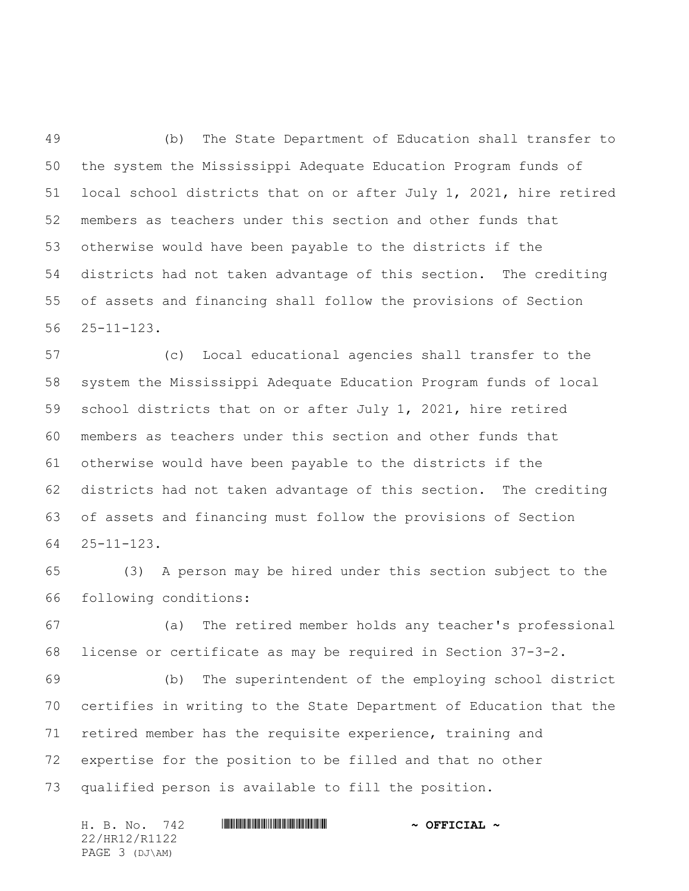(b) The State Department of Education shall transfer to the system the Mississippi Adequate Education Program funds of local school districts that on or after July 1, 2021, hire retired members as teachers under this section and other funds that otherwise would have been payable to the districts if the districts had not taken advantage of this section. The crediting of assets and financing shall follow the provisions of Section 25-11-123.

 (c) Local educational agencies shall transfer to the system the Mississippi Adequate Education Program funds of local school districts that on or after July 1, 2021, hire retired members as teachers under this section and other funds that otherwise would have been payable to the districts if the districts had not taken advantage of this section. The crediting of assets and financing must follow the provisions of Section 25-11-123.

 (3) A person may be hired under this section subject to the following conditions:

 (a) The retired member holds any teacher's professional license or certificate as may be required in Section 37-3-2.

 (b) The superintendent of the employing school district certifies in writing to the State Department of Education that the retired member has the requisite experience, training and expertise for the position to be filled and that no other qualified person is available to fill the position.

|  | H. B. No. 742  |  | $\sim$ OFFICIAL $\sim$ |
|--|----------------|--|------------------------|
|  | 22/HR12/R1122  |  |                        |
|  | PAGE 3 (DJ\AM) |  |                        |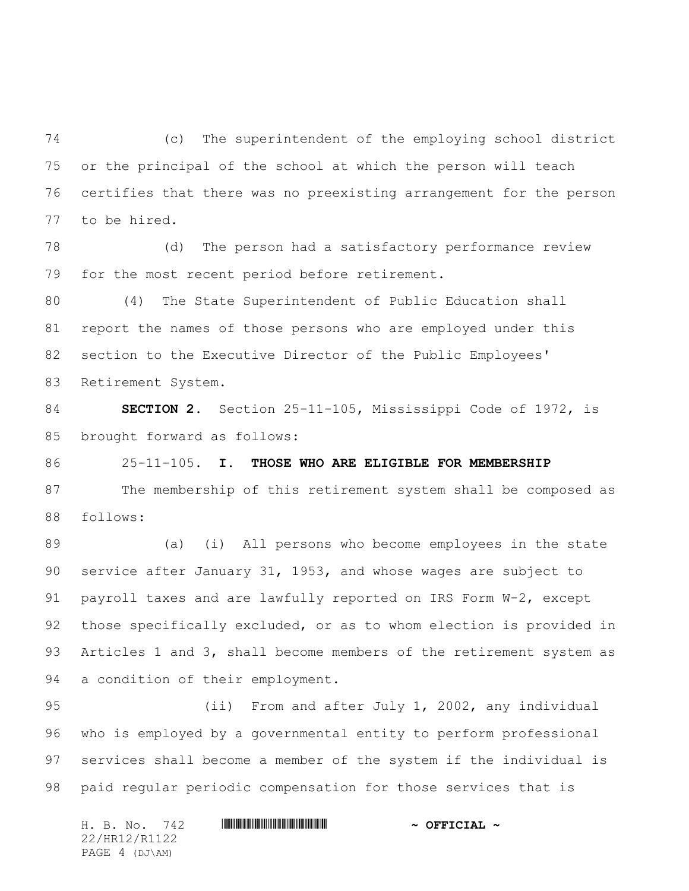(c) The superintendent of the employing school district or the principal of the school at which the person will teach certifies that there was no preexisting arrangement for the person to be hired.

 (d) The person had a satisfactory performance review for the most recent period before retirement.

 (4) The State Superintendent of Public Education shall report the names of those persons who are employed under this section to the Executive Director of the Public Employees' Retirement System.

 **SECTION 2.** Section 25-11-105, Mississippi Code of 1972, is brought forward as follows:

25-11-105. **I. THOSE WHO ARE ELIGIBLE FOR MEMBERSHIP**

 The membership of this retirement system shall be composed as follows:

 (a) (i) All persons who become employees in the state service after January 31, 1953, and whose wages are subject to payroll taxes and are lawfully reported on IRS Form W-2, except those specifically excluded, or as to whom election is provided in 93 Articles 1 and 3, shall become members of the retirement system as a condition of their employment.

 (ii) From and after July 1, 2002, any individual who is employed by a governmental entity to perform professional services shall become a member of the system if the individual is paid regular periodic compensation for those services that is

H. B. No. 742 **HRININIA RIPLINIA COFFICIAL** ~ 22/HR12/R1122 PAGE 4 (DJ\AM)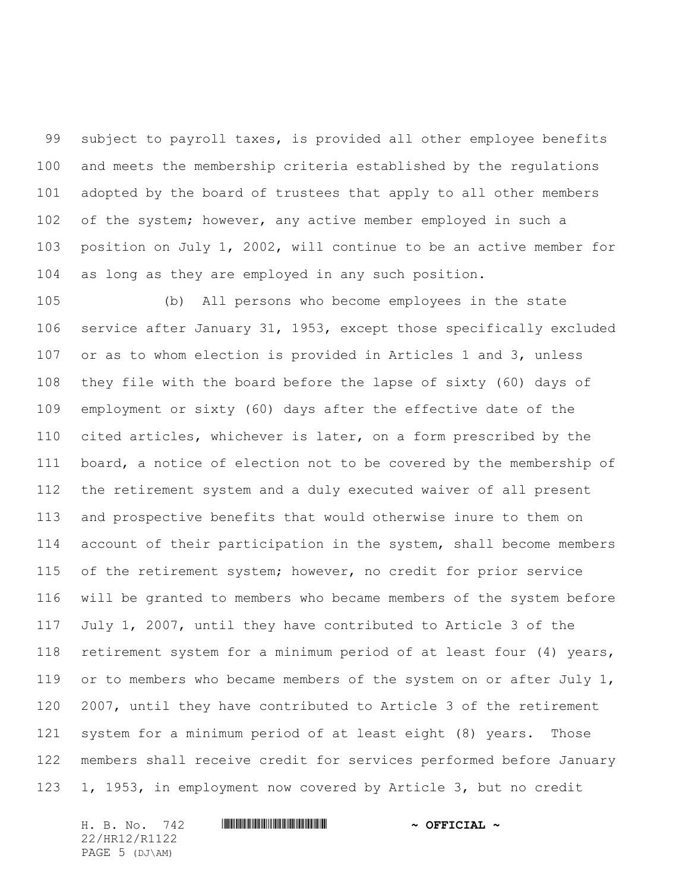subject to payroll taxes, is provided all other employee benefits and meets the membership criteria established by the regulations adopted by the board of trustees that apply to all other members of the system; however, any active member employed in such a position on July 1, 2002, will continue to be an active member for as long as they are employed in any such position.

 (b) All persons who become employees in the state service after January 31, 1953, except those specifically excluded or as to whom election is provided in Articles 1 and 3, unless they file with the board before the lapse of sixty (60) days of employment or sixty (60) days after the effective date of the cited articles, whichever is later, on a form prescribed by the board, a notice of election not to be covered by the membership of the retirement system and a duly executed waiver of all present and prospective benefits that would otherwise inure to them on account of their participation in the system, shall become members of the retirement system; however, no credit for prior service will be granted to members who became members of the system before July 1, 2007, until they have contributed to Article 3 of the retirement system for a minimum period of at least four (4) years, 119 or to members who became members of the system on or after July 1, 2007, until they have contributed to Article 3 of the retirement system for a minimum period of at least eight (8) years. Those members shall receive credit for services performed before January 1, 1953, in employment now covered by Article 3, but no credit

H. B. No. 742 **HRININIA RIPLINIA COFFICIAL** ~ 22/HR12/R1122 PAGE 5 (DJ\AM)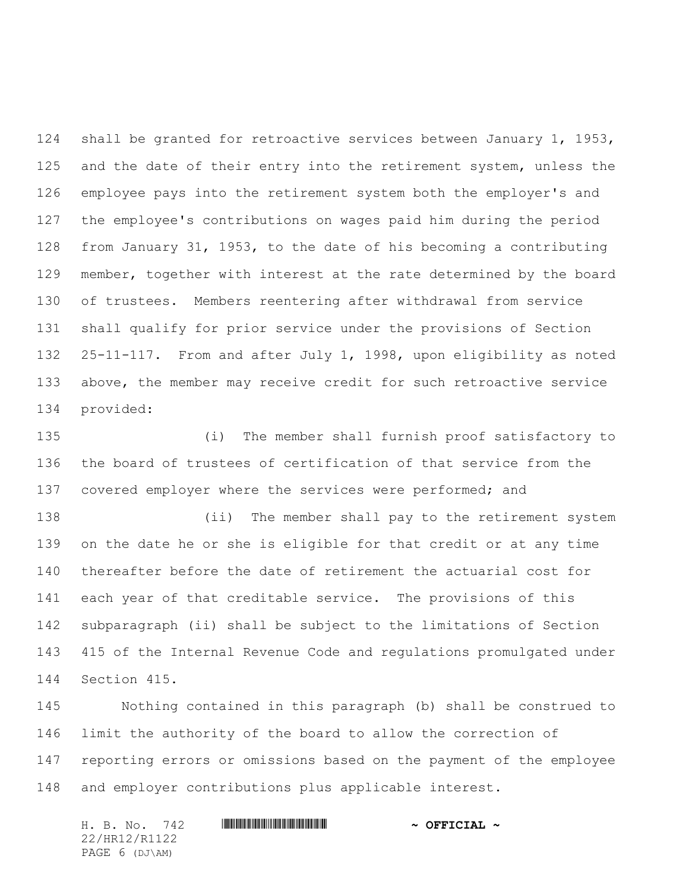shall be granted for retroactive services between January 1, 1953, 125 and the date of their entry into the retirement system, unless the employee pays into the retirement system both the employer's and the employee's contributions on wages paid him during the period from January 31, 1953, to the date of his becoming a contributing member, together with interest at the rate determined by the board of trustees. Members reentering after withdrawal from service shall qualify for prior service under the provisions of Section 25-11-117. From and after July 1, 1998, upon eligibility as noted above, the member may receive credit for such retroactive service provided:

 (i) The member shall furnish proof satisfactory to the board of trustees of certification of that service from the 137 covered employer where the services were performed; and

 (ii) The member shall pay to the retirement system on the date he or she is eligible for that credit or at any time thereafter before the date of retirement the actuarial cost for each year of that creditable service. The provisions of this subparagraph (ii) shall be subject to the limitations of Section 415 of the Internal Revenue Code and regulations promulgated under Section 415.

 Nothing contained in this paragraph (b) shall be construed to limit the authority of the board to allow the correction of reporting errors or omissions based on the payment of the employee and employer contributions plus applicable interest.

H. B. No. 742 **HRININIA RIPLINIA COFFICIAL** ~ 22/HR12/R1122 PAGE 6 (DJ\AM)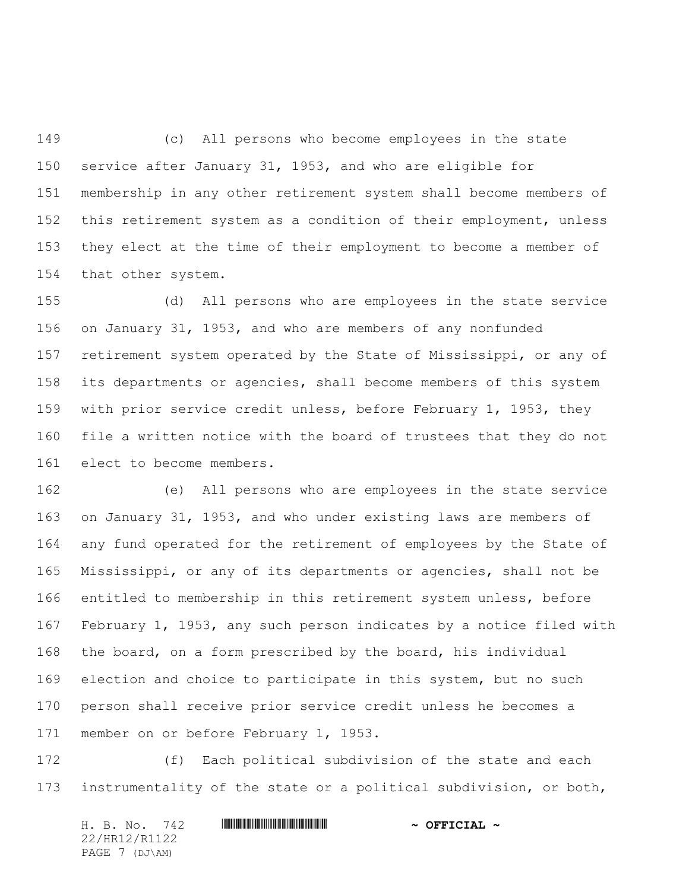(c) All persons who become employees in the state service after January 31, 1953, and who are eligible for membership in any other retirement system shall become members of this retirement system as a condition of their employment, unless they elect at the time of their employment to become a member of that other system.

 (d) All persons who are employees in the state service on January 31, 1953, and who are members of any nonfunded retirement system operated by the State of Mississippi, or any of its departments or agencies, shall become members of this system with prior service credit unless, before February 1, 1953, they file a written notice with the board of trustees that they do not elect to become members.

 (e) All persons who are employees in the state service on January 31, 1953, and who under existing laws are members of any fund operated for the retirement of employees by the State of Mississippi, or any of its departments or agencies, shall not be entitled to membership in this retirement system unless, before February 1, 1953, any such person indicates by a notice filed with the board, on a form prescribed by the board, his individual election and choice to participate in this system, but no such person shall receive prior service credit unless he becomes a member on or before February 1, 1953.

 (f) Each political subdivision of the state and each instrumentality of the state or a political subdivision, or both,

H. B. No. 742 **HRININIA RIPLINIA COFFICIAL** ~ 22/HR12/R1122 PAGE 7 (DJ\AM)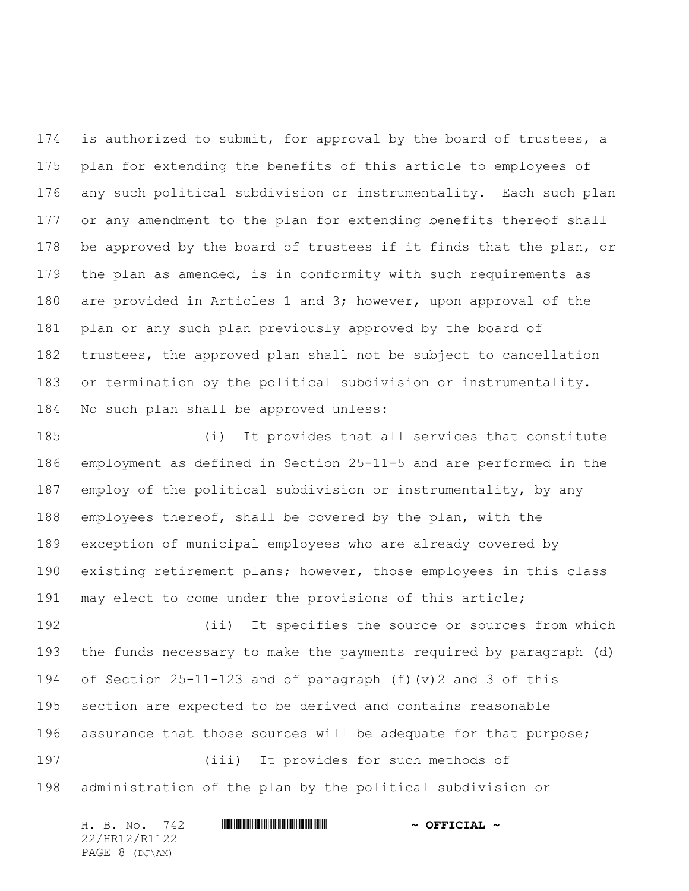174 is authorized to submit, for approval by the board of trustees, a plan for extending the benefits of this article to employees of any such political subdivision or instrumentality. Each such plan or any amendment to the plan for extending benefits thereof shall be approved by the board of trustees if it finds that the plan, or the plan as amended, is in conformity with such requirements as are provided in Articles 1 and 3; however, upon approval of the plan or any such plan previously approved by the board of trustees, the approved plan shall not be subject to cancellation or termination by the political subdivision or instrumentality. No such plan shall be approved unless:

 (i) It provides that all services that constitute employment as defined in Section 25-11-5 and are performed in the employ of the political subdivision or instrumentality, by any employees thereof, shall be covered by the plan, with the exception of municipal employees who are already covered by existing retirement plans; however, those employees in this class may elect to come under the provisions of this article;

 (ii) It specifies the source or sources from which the funds necessary to make the payments required by paragraph (d) of Section 25-11-123 and of paragraph (f)(v)2 and 3 of this section are expected to be derived and contains reasonable 196 assurance that those sources will be adequate for that purpose; (iii) It provides for such methods of administration of the plan by the political subdivision or

| H. B. No. 742  | $\sim$ OFFICIAL $\sim$ |
|----------------|------------------------|
| 22/HR12/R1122  |                        |
| PAGE 8 (DJ\AM) |                        |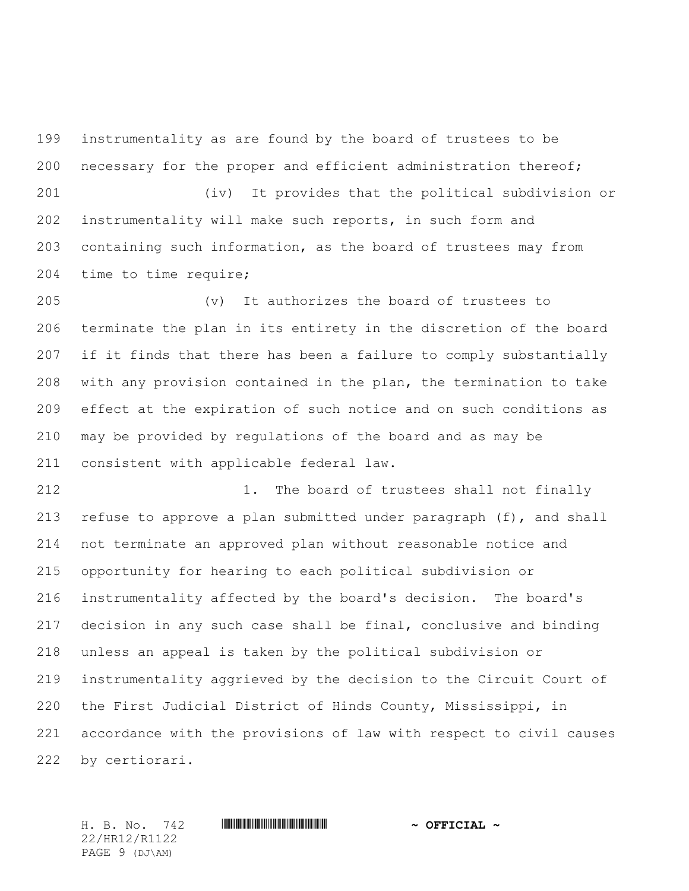instrumentality as are found by the board of trustees to be necessary for the proper and efficient administration thereof; (iv) It provides that the political subdivision or instrumentality will make such reports, in such form and

 containing such information, as the board of trustees may from time to time require;

 (v) It authorizes the board of trustees to terminate the plan in its entirety in the discretion of the board if it finds that there has been a failure to comply substantially with any provision contained in the plan, the termination to take effect at the expiration of such notice and on such conditions as may be provided by regulations of the board and as may be consistent with applicable federal law.

212 1. The board of trustees shall not finally refuse to approve a plan submitted under paragraph (f), and shall not terminate an approved plan without reasonable notice and opportunity for hearing to each political subdivision or instrumentality affected by the board's decision. The board's decision in any such case shall be final, conclusive and binding unless an appeal is taken by the political subdivision or instrumentality aggrieved by the decision to the Circuit Court of the First Judicial District of Hinds County, Mississippi, in accordance with the provisions of law with respect to civil causes by certiorari.

22/HR12/R1122 PAGE 9 (DJ\AM)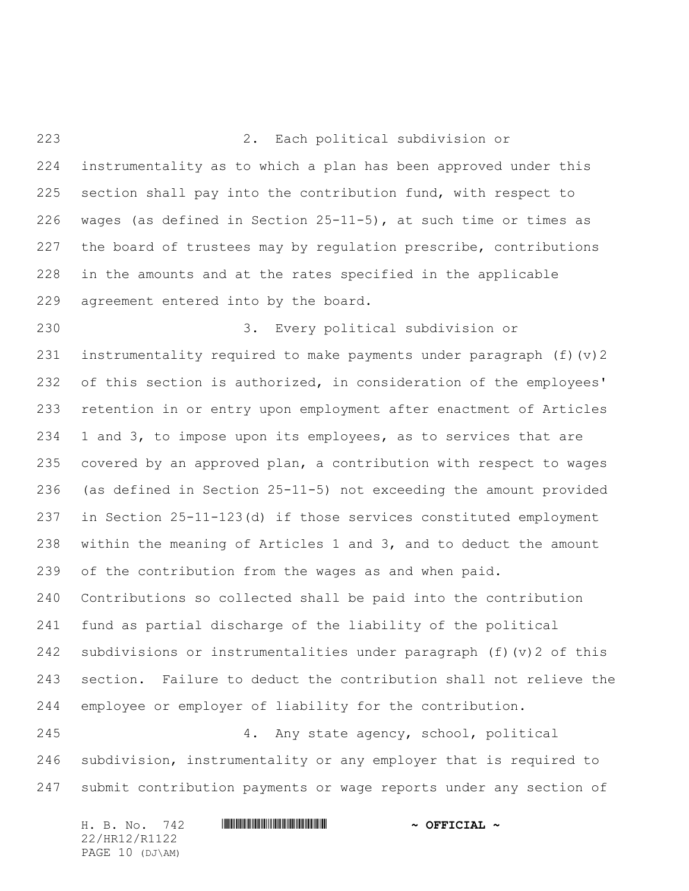2. Each political subdivision or instrumentality as to which a plan has been approved under this section shall pay into the contribution fund, with respect to wages (as defined in Section 25-11-5), at such time or times as the board of trustees may by regulation prescribe, contributions in the amounts and at the rates specified in the applicable agreement entered into by the board.

 3. Every political subdivision or instrumentality required to make payments under paragraph (f)(v)2 232 of this section is authorized, in consideration of the employees' retention in or entry upon employment after enactment of Articles 1 and 3, to impose upon its employees, as to services that are covered by an approved plan, a contribution with respect to wages (as defined in Section 25-11-5) not exceeding the amount provided in Section 25-11-123(d) if those services constituted employment within the meaning of Articles 1 and 3, and to deduct the amount of the contribution from the wages as and when paid. Contributions so collected shall be paid into the contribution fund as partial discharge of the liability of the political subdivisions or instrumentalities under paragraph (f)(v)2 of this section. Failure to deduct the contribution shall not relieve the employee or employer of liability for the contribution.

 4. Any state agency, school, political subdivision, instrumentality or any employer that is required to submit contribution payments or wage reports under any section of

| H. B. No. 742   | $\sim$ OFFICIAL $\sim$ |
|-----------------|------------------------|
| 22/HR12/R1122   |                        |
| PAGE 10 (DJ\AM) |                        |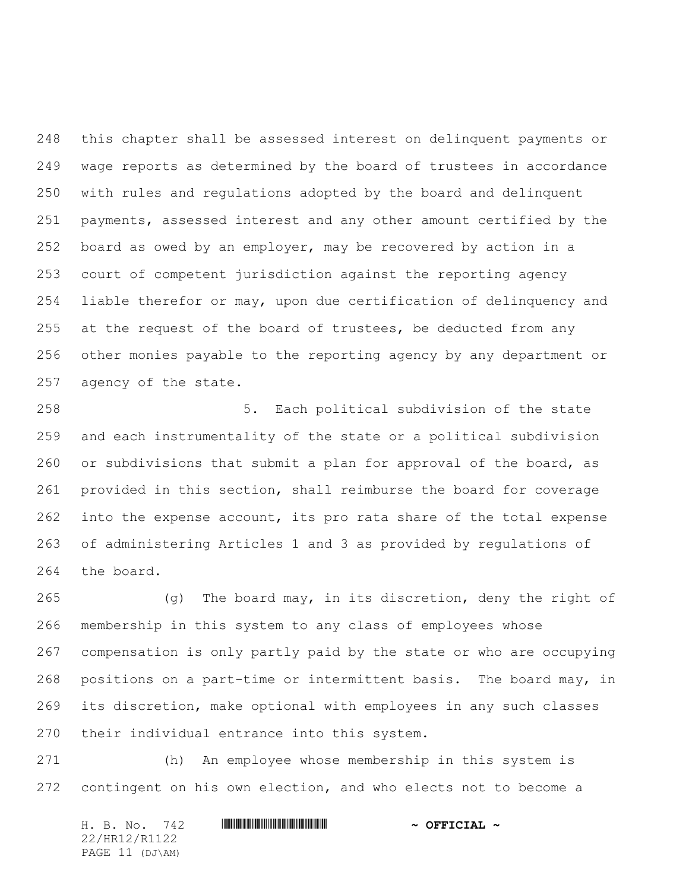this chapter shall be assessed interest on delinquent payments or wage reports as determined by the board of trustees in accordance with rules and regulations adopted by the board and delinquent payments, assessed interest and any other amount certified by the board as owed by an employer, may be recovered by action in a court of competent jurisdiction against the reporting agency liable therefor or may, upon due certification of delinquency and 255 at the request of the board of trustees, be deducted from any other monies payable to the reporting agency by any department or agency of the state.

 5. Each political subdivision of the state and each instrumentality of the state or a political subdivision or subdivisions that submit a plan for approval of the board, as provided in this section, shall reimburse the board for coverage 262 into the expense account, its pro rata share of the total expense of administering Articles 1 and 3 as provided by regulations of the board.

 (g) The board may, in its discretion, deny the right of membership in this system to any class of employees whose compensation is only partly paid by the state or who are occupying positions on a part-time or intermittent basis. The board may, in its discretion, make optional with employees in any such classes their individual entrance into this system.

 (h) An employee whose membership in this system is contingent on his own election, and who elects not to become a

| H. B. No. 742   | $\sim$ OFFICIAL $\sim$ |
|-----------------|------------------------|
| 22/HR12/R1122   |                        |
| PAGE 11 (DJ\AM) |                        |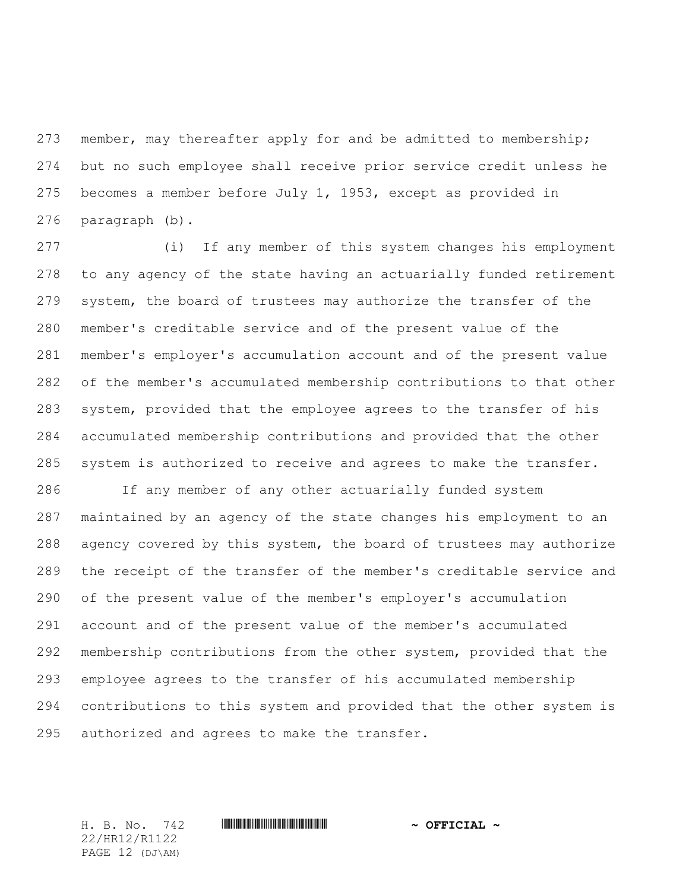273 member, may thereafter apply for and be admitted to membership; but no such employee shall receive prior service credit unless he becomes a member before July 1, 1953, except as provided in paragraph (b).

 (i) If any member of this system changes his employment to any agency of the state having an actuarially funded retirement system, the board of trustees may authorize the transfer of the member's creditable service and of the present value of the member's employer's accumulation account and of the present value of the member's accumulated membership contributions to that other system, provided that the employee agrees to the transfer of his accumulated membership contributions and provided that the other system is authorized to receive and agrees to make the transfer.

 If any member of any other actuarially funded system maintained by an agency of the state changes his employment to an agency covered by this system, the board of trustees may authorize the receipt of the transfer of the member's creditable service and of the present value of the member's employer's accumulation account and of the present value of the member's accumulated membership contributions from the other system, provided that the employee agrees to the transfer of his accumulated membership contributions to this system and provided that the other system is authorized and agrees to make the transfer.

22/HR12/R1122 PAGE 12 (DJ\AM)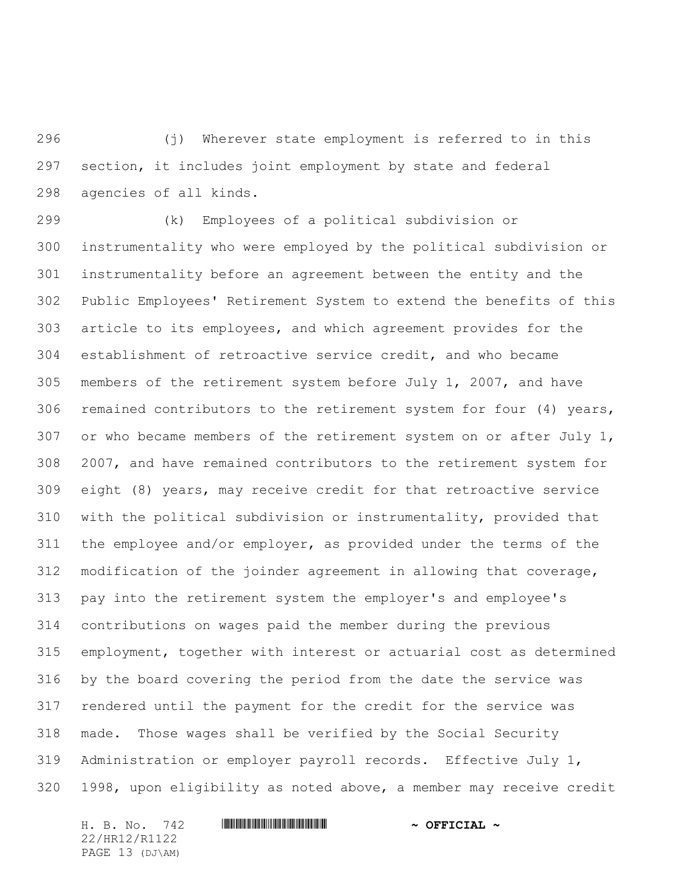(j) Wherever state employment is referred to in this section, it includes joint employment by state and federal agencies of all kinds.

 (k) Employees of a political subdivision or instrumentality who were employed by the political subdivision or instrumentality before an agreement between the entity and the Public Employees' Retirement System to extend the benefits of this article to its employees, and which agreement provides for the establishment of retroactive service credit, and who became members of the retirement system before July 1, 2007, and have remained contributors to the retirement system for four (4) years, or who became members of the retirement system on or after July 1, 2007, and have remained contributors to the retirement system for eight (8) years, may receive credit for that retroactive service with the political subdivision or instrumentality, provided that the employee and/or employer, as provided under the terms of the modification of the joinder agreement in allowing that coverage, pay into the retirement system the employer's and employee's contributions on wages paid the member during the previous employment, together with interest or actuarial cost as determined by the board covering the period from the date the service was rendered until the payment for the credit for the service was made. Those wages shall be verified by the Social Security Administration or employer payroll records. Effective July 1, 1998, upon eligibility as noted above, a member may receive credit

H. B. No. 742 **HRININIA RIPLINIA COFFICIAL** ~ 22/HR12/R1122 PAGE 13 (DJ\AM)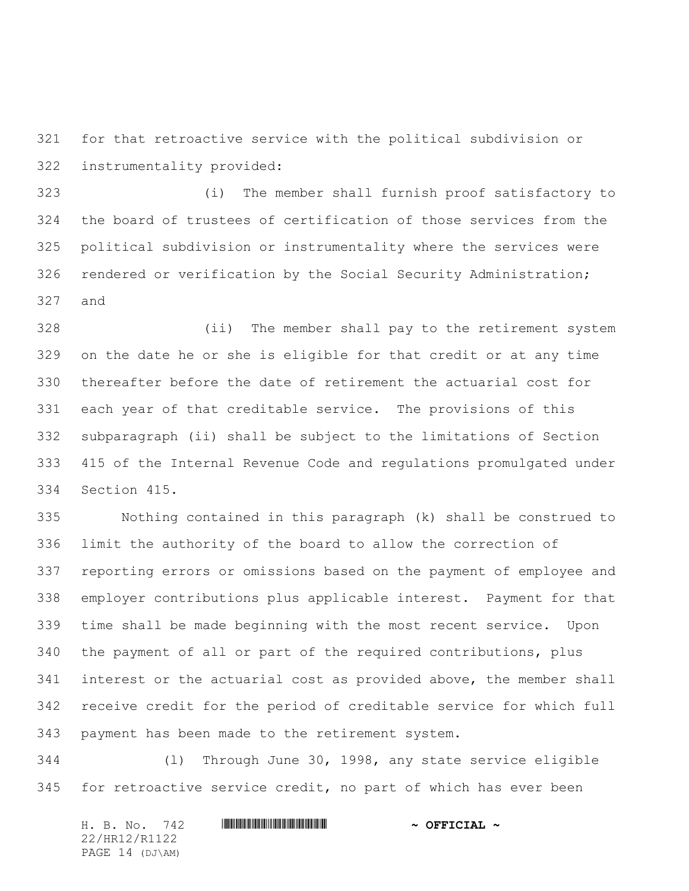for that retroactive service with the political subdivision or instrumentality provided:

 (i) The member shall furnish proof satisfactory to the board of trustees of certification of those services from the political subdivision or instrumentality where the services were rendered or verification by the Social Security Administration; and

 (ii) The member shall pay to the retirement system on the date he or she is eligible for that credit or at any time thereafter before the date of retirement the actuarial cost for each year of that creditable service. The provisions of this subparagraph (ii) shall be subject to the limitations of Section 415 of the Internal Revenue Code and regulations promulgated under Section 415.

 Nothing contained in this paragraph (k) shall be construed to limit the authority of the board to allow the correction of reporting errors or omissions based on the payment of employee and employer contributions plus applicable interest. Payment for that time shall be made beginning with the most recent service. Upon the payment of all or part of the required contributions, plus interest or the actuarial cost as provided above, the member shall receive credit for the period of creditable service for which full payment has been made to the retirement system.

 (l) Through June 30, 1998, any state service eligible for retroactive service credit, no part of which has ever been

| H. B. No. 742   | $\sim$ OFFICIAL $\sim$ |
|-----------------|------------------------|
| 22/HR12/R1122   |                        |
| PAGE 14 (DJ\AM) |                        |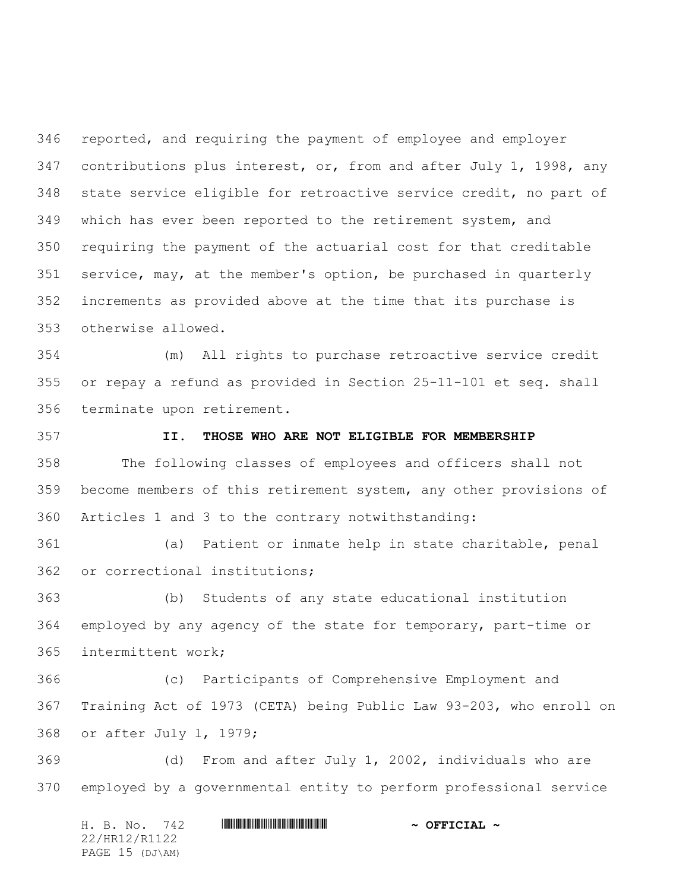reported, and requiring the payment of employee and employer 347 contributions plus interest, or, from and after July 1, 1998, any state service eligible for retroactive service credit, no part of which has ever been reported to the retirement system, and requiring the payment of the actuarial cost for that creditable service, may, at the member's option, be purchased in quarterly increments as provided above at the time that its purchase is otherwise allowed.

 (m) All rights to purchase retroactive service credit or repay a refund as provided in Section 25-11-101 et seq. shall terminate upon retirement.

# **II. THOSE WHO ARE NOT ELIGIBLE FOR MEMBERSHIP**

 The following classes of employees and officers shall not become members of this retirement system, any other provisions of Articles 1 and 3 to the contrary notwithstanding:

 (a) Patient or inmate help in state charitable, penal or correctional institutions;

 (b) Students of any state educational institution employed by any agency of the state for temporary, part-time or intermittent work;

 (c) Participants of Comprehensive Employment and Training Act of 1973 (CETA) being Public Law 93-203, who enroll on or after July l, 1979;

 (d) From and after July 1, 2002, individuals who are employed by a governmental entity to perform professional service

H. B. No. 742 **HRININIA RIPLINIA COFFICIAL** ~ 22/HR12/R1122 PAGE 15 (DJ\AM)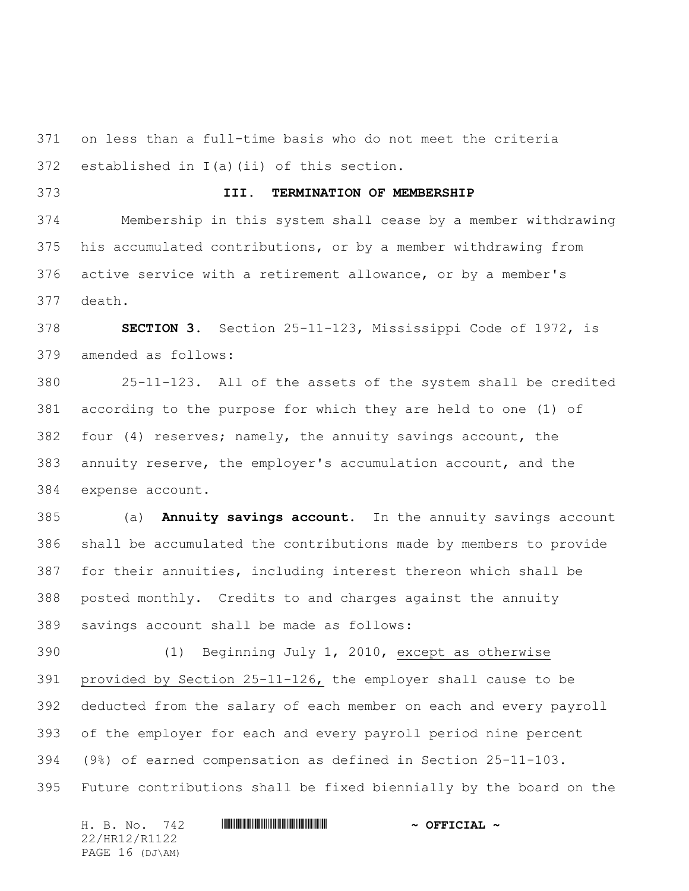on less than a full-time basis who do not meet the criteria established in I(a)(ii) of this section.

### **III. TERMINATION OF MEMBERSHIP**

 Membership in this system shall cease by a member withdrawing his accumulated contributions, or by a member withdrawing from active service with a retirement allowance, or by a member's death.

 **SECTION 3.** Section 25-11-123, Mississippi Code of 1972, is amended as follows:

 25-11-123. All of the assets of the system shall be credited according to the purpose for which they are held to one (1) of four (4) reserves; namely, the annuity savings account, the annuity reserve, the employer's accumulation account, and the expense account.

 (a) **Annuity savings account.** In the annuity savings account shall be accumulated the contributions made by members to provide for their annuities, including interest thereon which shall be posted monthly. Credits to and charges against the annuity savings account shall be made as follows:

 (1) Beginning July 1, 2010, except as otherwise provided by Section 25-11-126, the employer shall cause to be deducted from the salary of each member on each and every payroll of the employer for each and every payroll period nine percent (9%) of earned compensation as defined in Section 25-11-103. Future contributions shall be fixed biennially by the board on the

H. B. No. 742 **HRININIA RIPLINIA COFFICIAL** ~ 22/HR12/R1122 PAGE 16 (DJ\AM)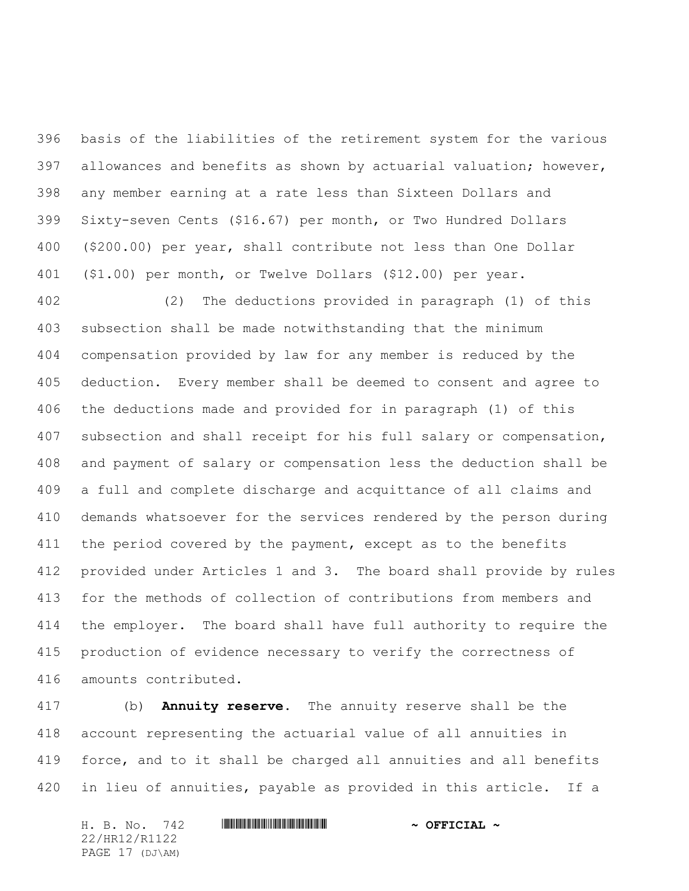basis of the liabilities of the retirement system for the various allowances and benefits as shown by actuarial valuation; however, any member earning at a rate less than Sixteen Dollars and Sixty-seven Cents (\$16.67) per month, or Two Hundred Dollars (\$200.00) per year, shall contribute not less than One Dollar (\$1.00) per month, or Twelve Dollars (\$12.00) per year.

 (2) The deductions provided in paragraph (1) of this subsection shall be made notwithstanding that the minimum compensation provided by law for any member is reduced by the deduction. Every member shall be deemed to consent and agree to the deductions made and provided for in paragraph (1) of this subsection and shall receipt for his full salary or compensation, and payment of salary or compensation less the deduction shall be a full and complete discharge and acquittance of all claims and demands whatsoever for the services rendered by the person during 411 the period covered by the payment, except as to the benefits provided under Articles 1 and 3. The board shall provide by rules for the methods of collection of contributions from members and the employer. The board shall have full authority to require the production of evidence necessary to verify the correctness of amounts contributed.

 (b) **Annuity reserve.** The annuity reserve shall be the account representing the actuarial value of all annuities in force, and to it shall be charged all annuities and all benefits in lieu of annuities, payable as provided in this article. If a

H. B. No. 742 **HRININIA RIPLINIA 1999 ~ OFFICIAL ~** 22/HR12/R1122 PAGE 17 (DJ\AM)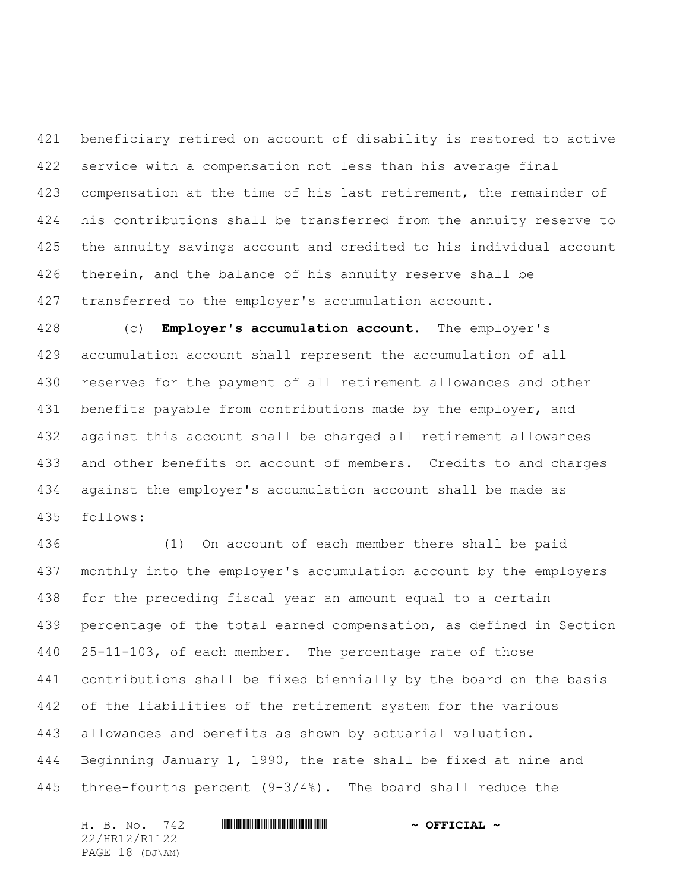beneficiary retired on account of disability is restored to active service with a compensation not less than his average final compensation at the time of his last retirement, the remainder of his contributions shall be transferred from the annuity reserve to the annuity savings account and credited to his individual account therein, and the balance of his annuity reserve shall be transferred to the employer's accumulation account.

 (c) **Employer's accumulation account.** The employer's accumulation account shall represent the accumulation of all reserves for the payment of all retirement allowances and other 431 benefits payable from contributions made by the employer, and against this account shall be charged all retirement allowances and other benefits on account of members. Credits to and charges against the employer's accumulation account shall be made as follows:

 (1) On account of each member there shall be paid monthly into the employer's accumulation account by the employers for the preceding fiscal year an amount equal to a certain percentage of the total earned compensation, as defined in Section 25-11-103, of each member. The percentage rate of those contributions shall be fixed biennially by the board on the basis of the liabilities of the retirement system for the various allowances and benefits as shown by actuarial valuation. Beginning January 1, 1990, the rate shall be fixed at nine and three-fourths percent (9-3/4%). The board shall reduce the

H. B. No. 742 **HRININIA RIPLINIA COFFICIAL** ~ 22/HR12/R1122 PAGE 18 (DJ\AM)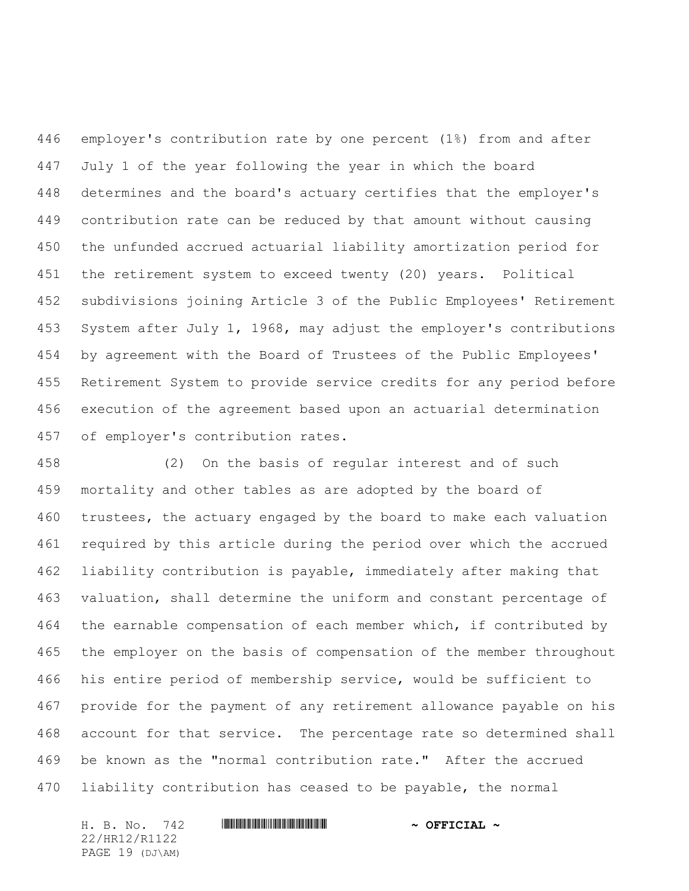employer's contribution rate by one percent (1%) from and after July 1 of the year following the year in which the board determines and the board's actuary certifies that the employer's contribution rate can be reduced by that amount without causing the unfunded accrued actuarial liability amortization period for the retirement system to exceed twenty (20) years. Political subdivisions joining Article 3 of the Public Employees' Retirement System after July 1, 1968, may adjust the employer's contributions by agreement with the Board of Trustees of the Public Employees' Retirement System to provide service credits for any period before execution of the agreement based upon an actuarial determination of employer's contribution rates.

 (2) On the basis of regular interest and of such mortality and other tables as are adopted by the board of trustees, the actuary engaged by the board to make each valuation required by this article during the period over which the accrued liability contribution is payable, immediately after making that valuation, shall determine the uniform and constant percentage of 464 the earnable compensation of each member which, if contributed by the employer on the basis of compensation of the member throughout his entire period of membership service, would be sufficient to provide for the payment of any retirement allowance payable on his account for that service. The percentage rate so determined shall be known as the "normal contribution rate." After the accrued liability contribution has ceased to be payable, the normal

H. B. No. 742 **HRININIA RIPLINIA COFFICIAL** ~ 22/HR12/R1122 PAGE 19 (DJ\AM)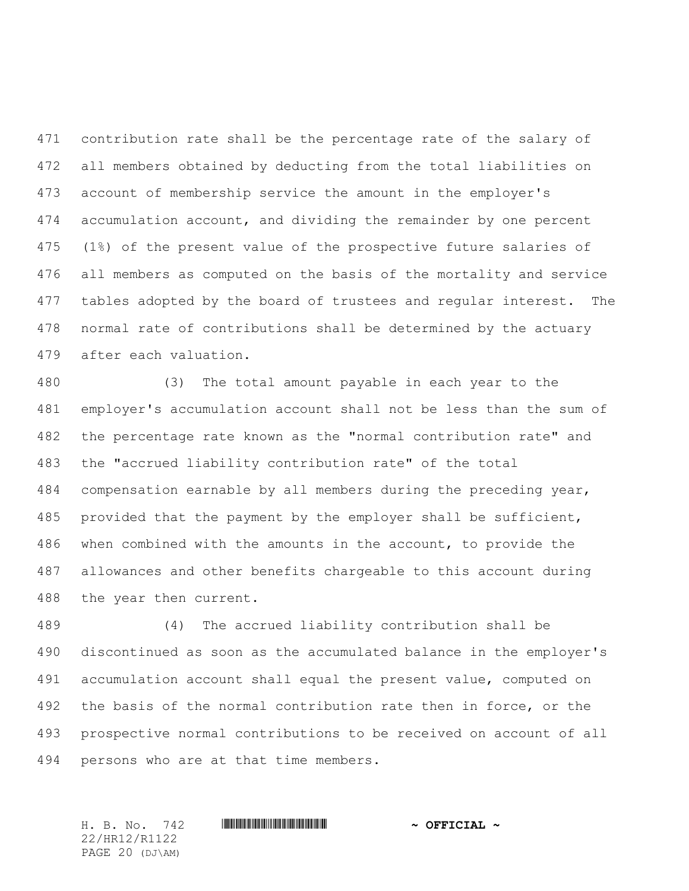contribution rate shall be the percentage rate of the salary of all members obtained by deducting from the total liabilities on account of membership service the amount in the employer's accumulation account, and dividing the remainder by one percent (1%) of the present value of the prospective future salaries of all members as computed on the basis of the mortality and service 477 tables adopted by the board of trustees and regular interest. The normal rate of contributions shall be determined by the actuary after each valuation.

 (3) The total amount payable in each year to the employer's accumulation account shall not be less than the sum of the percentage rate known as the "normal contribution rate" and the "accrued liability contribution rate" of the total compensation earnable by all members during the preceding year, provided that the payment by the employer shall be sufficient, when combined with the amounts in the account, to provide the allowances and other benefits chargeable to this account during the year then current.

 (4) The accrued liability contribution shall be discontinued as soon as the accumulated balance in the employer's accumulation account shall equal the present value, computed on the basis of the normal contribution rate then in force, or the prospective normal contributions to be received on account of all persons who are at that time members.

H. B. No. 742 \*HR12/R1122\* **~ OFFICIAL ~** 22/HR12/R1122 PAGE 20 (DJ\AM)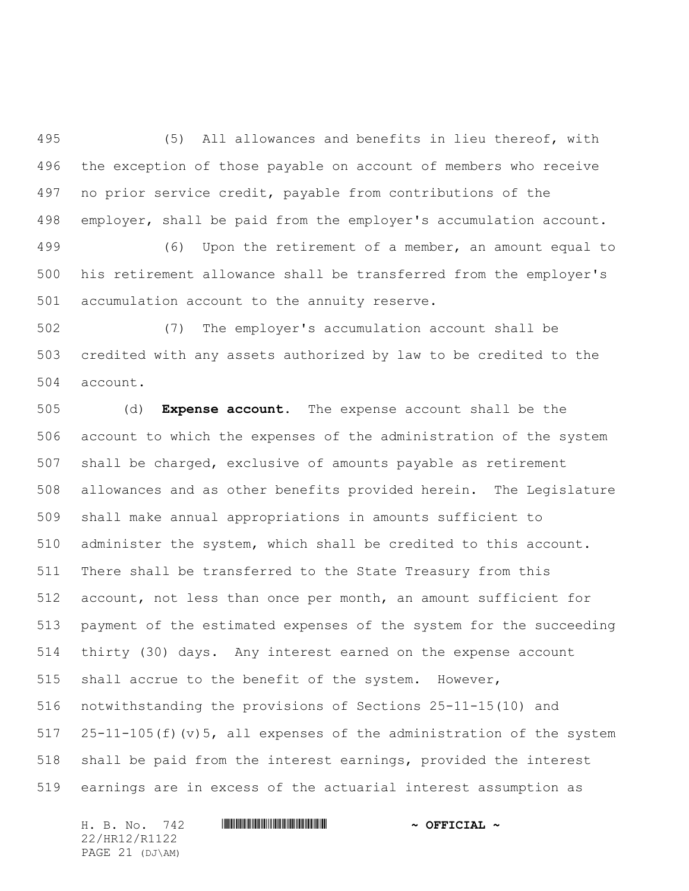(5) All allowances and benefits in lieu thereof, with the exception of those payable on account of members who receive no prior service credit, payable from contributions of the employer, shall be paid from the employer's accumulation account.

 (6) Upon the retirement of a member, an amount equal to his retirement allowance shall be transferred from the employer's accumulation account to the annuity reserve.

 (7) The employer's accumulation account shall be credited with any assets authorized by law to be credited to the account.

 (d) **Expense account.** The expense account shall be the account to which the expenses of the administration of the system shall be charged, exclusive of amounts payable as retirement allowances and as other benefits provided herein. The Legislature shall make annual appropriations in amounts sufficient to administer the system, which shall be credited to this account. There shall be transferred to the State Treasury from this account, not less than once per month, an amount sufficient for payment of the estimated expenses of the system for the succeeding thirty (30) days. Any interest earned on the expense account shall accrue to the benefit of the system. However, notwithstanding the provisions of Sections 25-11-15(10) and 25-11-105(f)(v)5, all expenses of the administration of the system shall be paid from the interest earnings, provided the interest earnings are in excess of the actuarial interest assumption as

22/HR12/R1122 PAGE 21 (DJ\AM)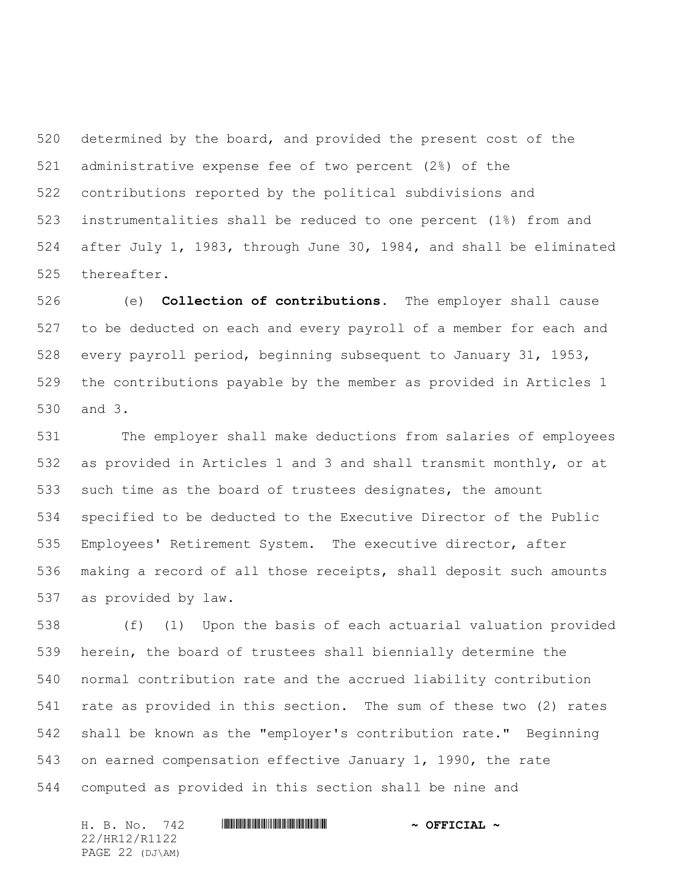determined by the board, and provided the present cost of the administrative expense fee of two percent (2%) of the contributions reported by the political subdivisions and instrumentalities shall be reduced to one percent (1%) from and after July 1, 1983, through June 30, 1984, and shall be eliminated thereafter.

 (e) **Collection of contributions.** The employer shall cause to be deducted on each and every payroll of a member for each and every payroll period, beginning subsequent to January 31, 1953, the contributions payable by the member as provided in Articles 1 and 3.

 The employer shall make deductions from salaries of employees as provided in Articles 1 and 3 and shall transmit monthly, or at such time as the board of trustees designates, the amount specified to be deducted to the Executive Director of the Public Employees' Retirement System. The executive director, after making a record of all those receipts, shall deposit such amounts as provided by law.

 (f) (1) Upon the basis of each actuarial valuation provided herein, the board of trustees shall biennially determine the normal contribution rate and the accrued liability contribution rate as provided in this section. The sum of these two (2) rates shall be known as the "employer's contribution rate." Beginning on earned compensation effective January 1, 1990, the rate computed as provided in this section shall be nine and

H. B. No. 742 **HRININIA RIPLINIA COFFICIAL** ~ 22/HR12/R1122 PAGE 22 (DJ\AM)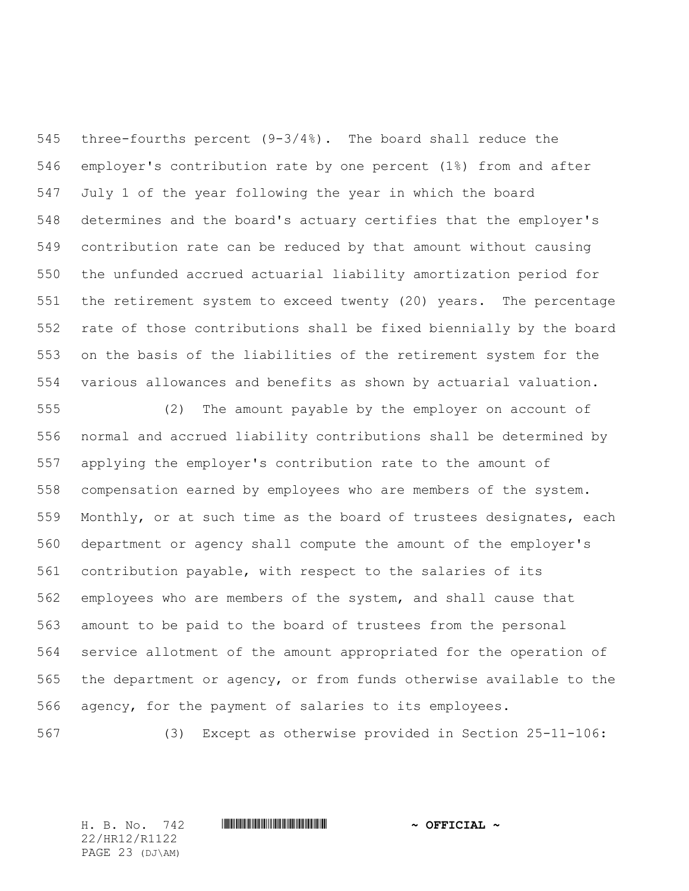three-fourths percent (9-3/4%). The board shall reduce the employer's contribution rate by one percent (1%) from and after July 1 of the year following the year in which the board determines and the board's actuary certifies that the employer's contribution rate can be reduced by that amount without causing the unfunded accrued actuarial liability amortization period for the retirement system to exceed twenty (20) years. The percentage rate of those contributions shall be fixed biennially by the board on the basis of the liabilities of the retirement system for the various allowances and benefits as shown by actuarial valuation.

 (2) The amount payable by the employer on account of normal and accrued liability contributions shall be determined by applying the employer's contribution rate to the amount of compensation earned by employees who are members of the system. Monthly, or at such time as the board of trustees designates, each department or agency shall compute the amount of the employer's contribution payable, with respect to the salaries of its employees who are members of the system, and shall cause that amount to be paid to the board of trustees from the personal service allotment of the amount appropriated for the operation of the department or agency, or from funds otherwise available to the agency, for the payment of salaries to its employees.

(3) Except as otherwise provided in Section 25-11-106:

22/HR12/R1122 PAGE 23 (DJ\AM)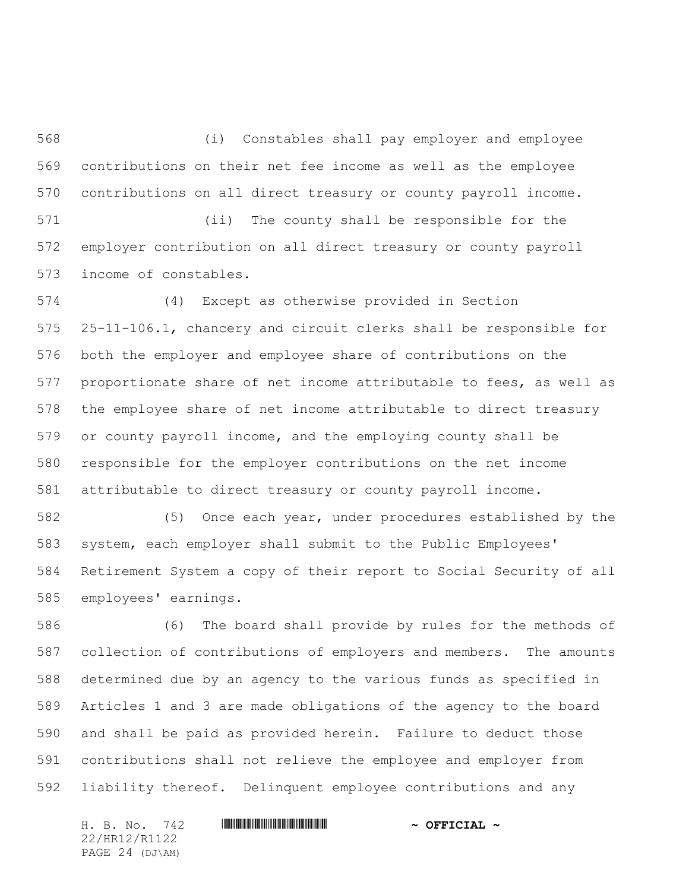(i) Constables shall pay employer and employee contributions on their net fee income as well as the employee contributions on all direct treasury or county payroll income.

 (ii) The county shall be responsible for the employer contribution on all direct treasury or county payroll income of constables.

 (4) Except as otherwise provided in Section 25-11-106.1, chancery and circuit clerks shall be responsible for both the employer and employee share of contributions on the proportionate share of net income attributable to fees, as well as the employee share of net income attributable to direct treasury or county payroll income, and the employing county shall be responsible for the employer contributions on the net income attributable to direct treasury or county payroll income.

 (5) Once each year, under procedures established by the system, each employer shall submit to the Public Employees' Retirement System a copy of their report to Social Security of all employees' earnings.

 (6) The board shall provide by rules for the methods of collection of contributions of employers and members. The amounts determined due by an agency to the various funds as specified in Articles 1 and 3 are made obligations of the agency to the board and shall be paid as provided herein. Failure to deduct those contributions shall not relieve the employee and employer from liability thereof. Delinquent employee contributions and any

H. B. No. 742 **HRININIA RIPLINIA COFFICIAL** ~ 22/HR12/R1122 PAGE 24 (DJ\AM)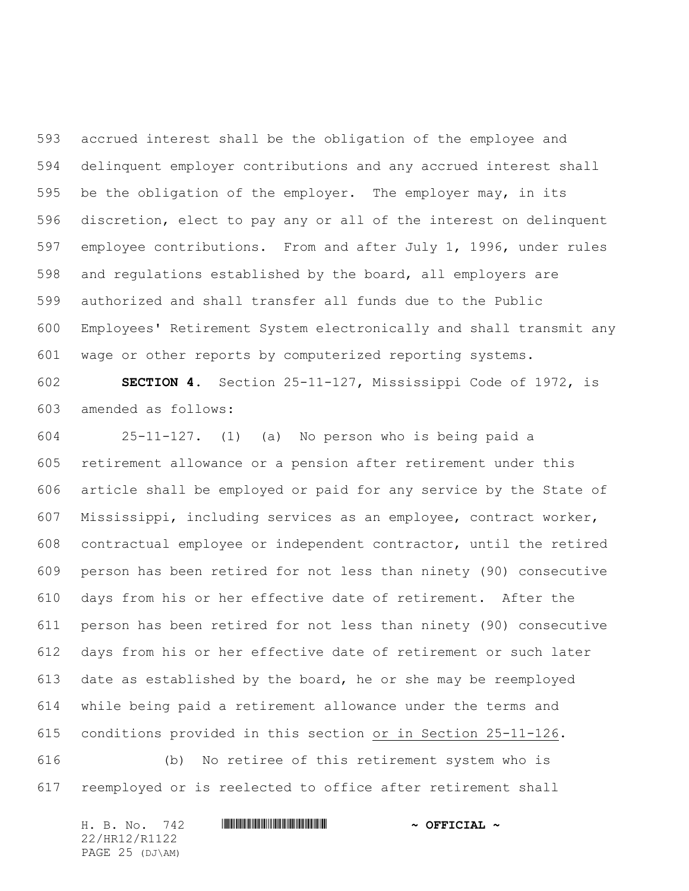accrued interest shall be the obligation of the employee and delinquent employer contributions and any accrued interest shall be the obligation of the employer. The employer may, in its discretion, elect to pay any or all of the interest on delinquent employee contributions. From and after July 1, 1996, under rules and regulations established by the board, all employers are authorized and shall transfer all funds due to the Public Employees' Retirement System electronically and shall transmit any wage or other reports by computerized reporting systems.

 **SECTION 4.** Section 25-11-127, Mississippi Code of 1972, is amended as follows:

 25-11-127. (1) (a) No person who is being paid a retirement allowance or a pension after retirement under this article shall be employed or paid for any service by the State of Mississippi, including services as an employee, contract worker, contractual employee or independent contractor, until the retired person has been retired for not less than ninety (90) consecutive days from his or her effective date of retirement. After the person has been retired for not less than ninety (90) consecutive days from his or her effective date of retirement or such later date as established by the board, he or she may be reemployed while being paid a retirement allowance under the terms and conditions provided in this section or in Section 25-11-126.

 (b) No retiree of this retirement system who is reemployed or is reelected to office after retirement shall

H. B. No. 742 **HRININIA RIPLINIA COFFICIAL** ~ 22/HR12/R1122 PAGE 25 (DJ\AM)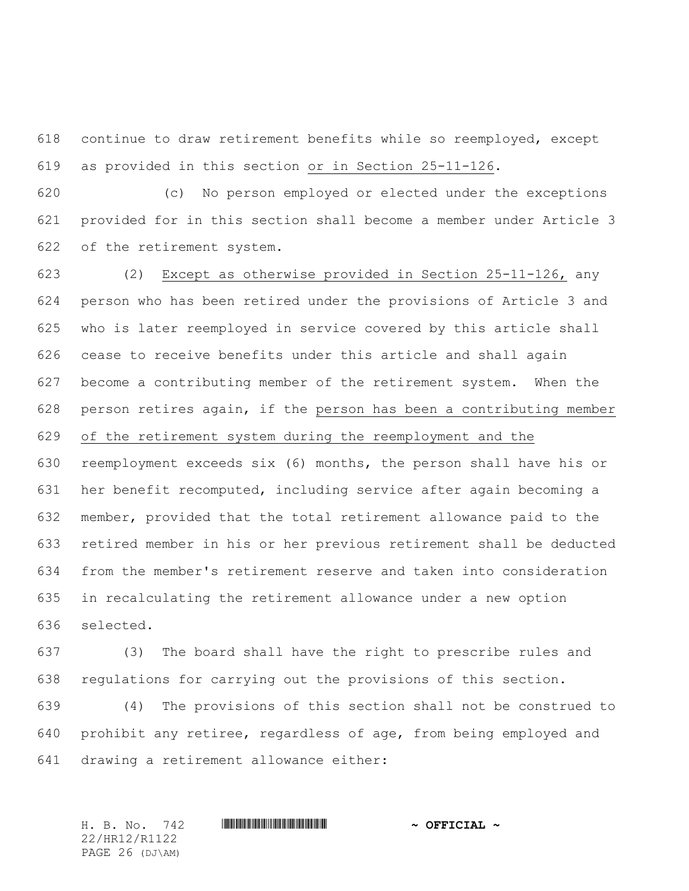continue to draw retirement benefits while so reemployed, except as provided in this section or in Section 25-11-126.

 (c) No person employed or elected under the exceptions provided for in this section shall become a member under Article 3 of the retirement system.

 (2) Except as otherwise provided in Section 25-11-126, any person who has been retired under the provisions of Article 3 and who is later reemployed in service covered by this article shall cease to receive benefits under this article and shall again become a contributing member of the retirement system. When the person retires again, if the person has been a contributing member of the retirement system during the reemployment and the reemployment exceeds six (6) months, the person shall have his or her benefit recomputed, including service after again becoming a member, provided that the total retirement allowance paid to the retired member in his or her previous retirement shall be deducted from the member's retirement reserve and taken into consideration in recalculating the retirement allowance under a new option selected.

 (3) The board shall have the right to prescribe rules and regulations for carrying out the provisions of this section.

 (4) The provisions of this section shall not be construed to prohibit any retiree, regardless of age, from being employed and drawing a retirement allowance either:

22/HR12/R1122 PAGE 26 (DJ\AM)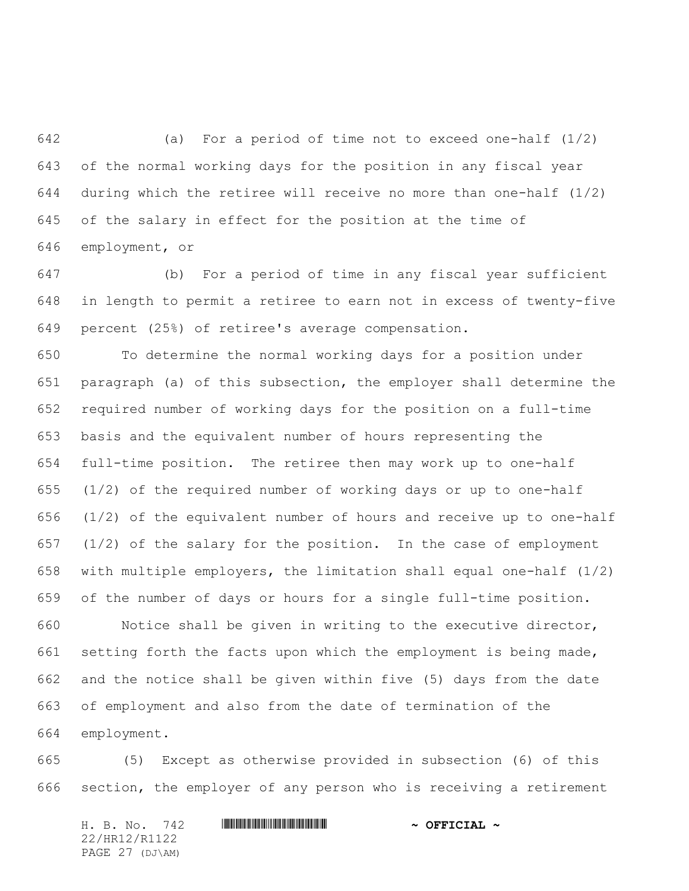(a) For a period of time not to exceed one-half (1/2) of the normal working days for the position in any fiscal year 644 during which the retiree will receive no more than one-half  $(1/2)$  of the salary in effect for the position at the time of employment, or

 (b) For a period of time in any fiscal year sufficient in length to permit a retiree to earn not in excess of twenty-five percent (25%) of retiree's average compensation.

 To determine the normal working days for a position under paragraph (a) of this subsection, the employer shall determine the required number of working days for the position on a full-time basis and the equivalent number of hours representing the full-time position. The retiree then may work up to one-half (1/2) of the required number of working days or up to one-half (1/2) of the equivalent number of hours and receive up to one-half (1/2) of the salary for the position. In the case of employment with multiple employers, the limitation shall equal one-half (1/2) of the number of days or hours for a single full-time position.

 Notice shall be given in writing to the executive director, setting forth the facts upon which the employment is being made, and the notice shall be given within five (5) days from the date of employment and also from the date of termination of the employment.

 (5) Except as otherwise provided in subsection (6) of this section, the employer of any person who is receiving a retirement

H. B. No. 742 **HRININIA RIPLINIA COFFICIAL** ~ 22/HR12/R1122 PAGE 27 (DJ\AM)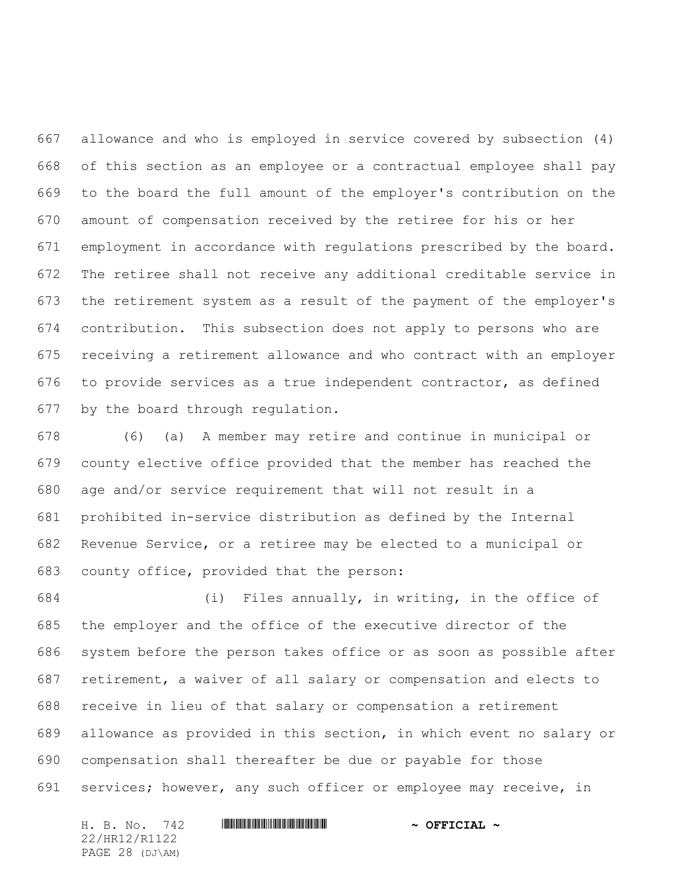allowance and who is employed in service covered by subsection (4) of this section as an employee or a contractual employee shall pay to the board the full amount of the employer's contribution on the amount of compensation received by the retiree for his or her employment in accordance with regulations prescribed by the board. The retiree shall not receive any additional creditable service in the retirement system as a result of the payment of the employer's contribution. This subsection does not apply to persons who are receiving a retirement allowance and who contract with an employer to provide services as a true independent contractor, as defined by the board through regulation.

 (6) (a) A member may retire and continue in municipal or county elective office provided that the member has reached the age and/or service requirement that will not result in a prohibited in-service distribution as defined by the Internal Revenue Service, or a retiree may be elected to a municipal or county office, provided that the person:

 (i) Files annually, in writing, in the office of the employer and the office of the executive director of the system before the person takes office or as soon as possible after retirement, a waiver of all salary or compensation and elects to receive in lieu of that salary or compensation a retirement allowance as provided in this section, in which event no salary or compensation shall thereafter be due or payable for those services; however, any such officer or employee may receive, in

H. B. No. 742 **HRININIA RIPLINIA COFFICIAL** ~ 22/HR12/R1122 PAGE 28 (DJ\AM)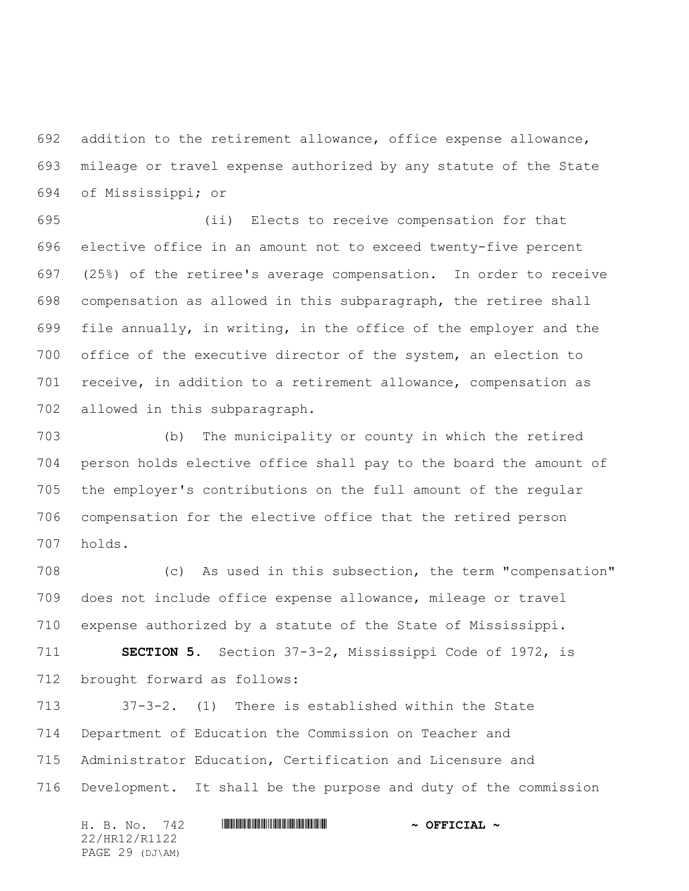addition to the retirement allowance, office expense allowance, mileage or travel expense authorized by any statute of the State of Mississippi; or

 (ii) Elects to receive compensation for that elective office in an amount not to exceed twenty-five percent (25%) of the retiree's average compensation. In order to receive compensation as allowed in this subparagraph, the retiree shall file annually, in writing, in the office of the employer and the office of the executive director of the system, an election to receive, in addition to a retirement allowance, compensation as allowed in this subparagraph.

 (b) The municipality or county in which the retired person holds elective office shall pay to the board the amount of the employer's contributions on the full amount of the regular compensation for the elective office that the retired person holds.

 (c) As used in this subsection, the term "compensation" does not include office expense allowance, mileage or travel expense authorized by a statute of the State of Mississippi.

 **SECTION 5.** Section 37-3-2, Mississippi Code of 1972, is brought forward as follows:

 37-3-2. (1) There is established within the State Department of Education the Commission on Teacher and Administrator Education, Certification and Licensure and Development. It shall be the purpose and duty of the commission

H. B. No. 742 **HRININIA RIPLINIA COFFICIAL** ~ 22/HR12/R1122 PAGE 29 (DJ\AM)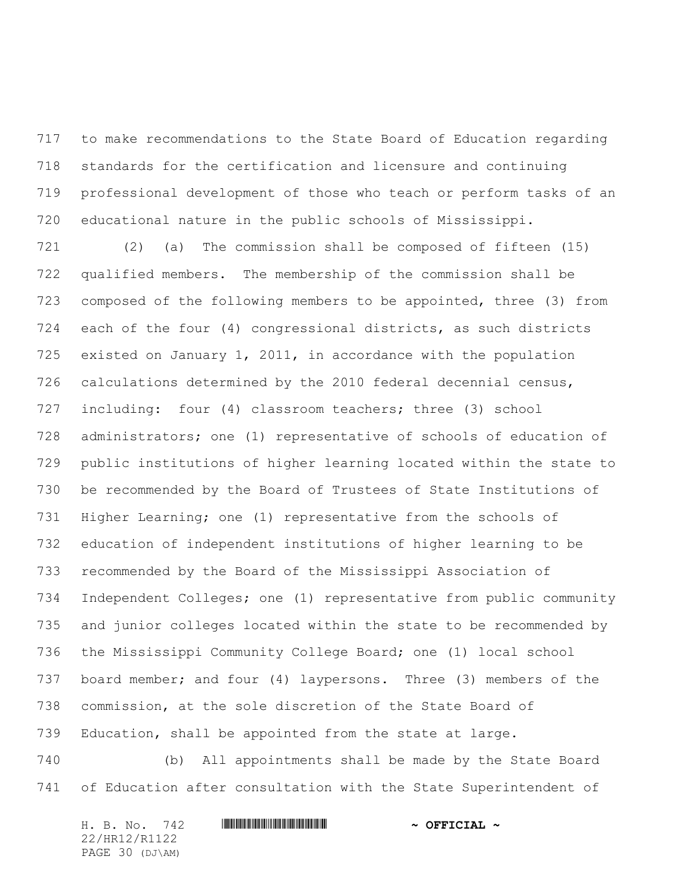to make recommendations to the State Board of Education regarding standards for the certification and licensure and continuing professional development of those who teach or perform tasks of an educational nature in the public schools of Mississippi.

 (2) (a) The commission shall be composed of fifteen (15) qualified members. The membership of the commission shall be composed of the following members to be appointed, three (3) from each of the four (4) congressional districts, as such districts existed on January 1, 2011, in accordance with the population calculations determined by the 2010 federal decennial census, including: four (4) classroom teachers; three (3) school administrators; one (1) representative of schools of education of public institutions of higher learning located within the state to be recommended by the Board of Trustees of State Institutions of Higher Learning; one (1) representative from the schools of education of independent institutions of higher learning to be recommended by the Board of the Mississippi Association of Independent Colleges; one (1) representative from public community and junior colleges located within the state to be recommended by the Mississippi Community College Board; one (1) local school board member; and four (4) laypersons. Three (3) members of the commission, at the sole discretion of the State Board of Education, shall be appointed from the state at large.

 (b) All appointments shall be made by the State Board of Education after consultation with the State Superintendent of

H. B. No. 742 **HRININIA RIPLINIA COFFICIAL** ~ 22/HR12/R1122 PAGE 30 (DJ\AM)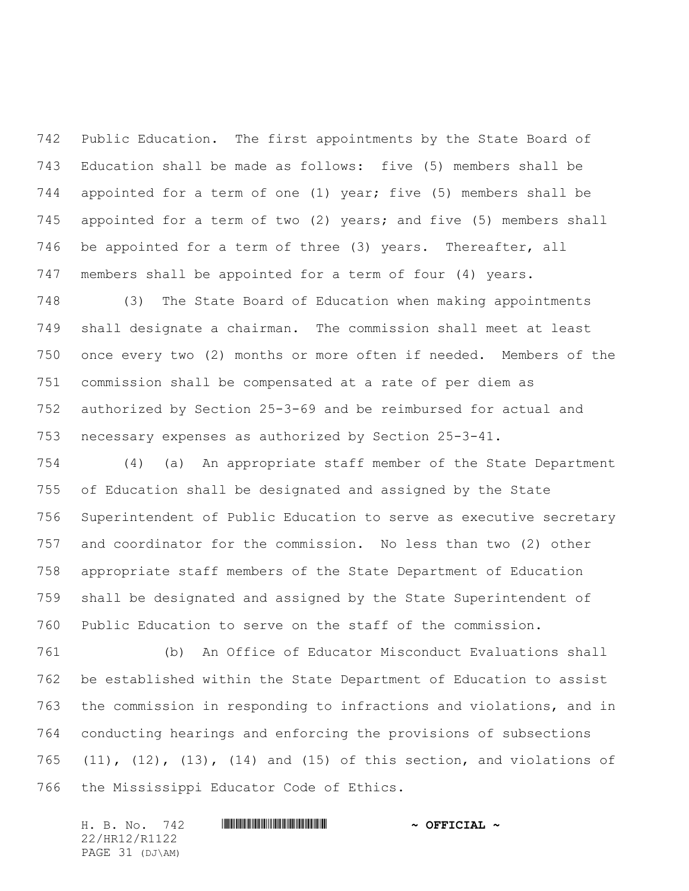Public Education. The first appointments by the State Board of Education shall be made as follows: five (5) members shall be appointed for a term of one (1) year; five (5) members shall be appointed for a term of two (2) years; and five (5) members shall be appointed for a term of three (3) years. Thereafter, all members shall be appointed for a term of four (4) years.

 (3) The State Board of Education when making appointments shall designate a chairman. The commission shall meet at least once every two (2) months or more often if needed. Members of the commission shall be compensated at a rate of per diem as authorized by Section 25-3-69 and be reimbursed for actual and necessary expenses as authorized by Section 25-3-41.

 (4) (a) An appropriate staff member of the State Department of Education shall be designated and assigned by the State Superintendent of Public Education to serve as executive secretary and coordinator for the commission. No less than two (2) other appropriate staff members of the State Department of Education shall be designated and assigned by the State Superintendent of Public Education to serve on the staff of the commission.

 (b) An Office of Educator Misconduct Evaluations shall be established within the State Department of Education to assist the commission in responding to infractions and violations, and in conducting hearings and enforcing the provisions of subsections (11), (12), (13), (14) and (15) of this section, and violations of the Mississippi Educator Code of Ethics.

H. B. No. 742 \*HR12/R1122\* **~ OFFICIAL ~** 22/HR12/R1122 PAGE 31 (DJ\AM)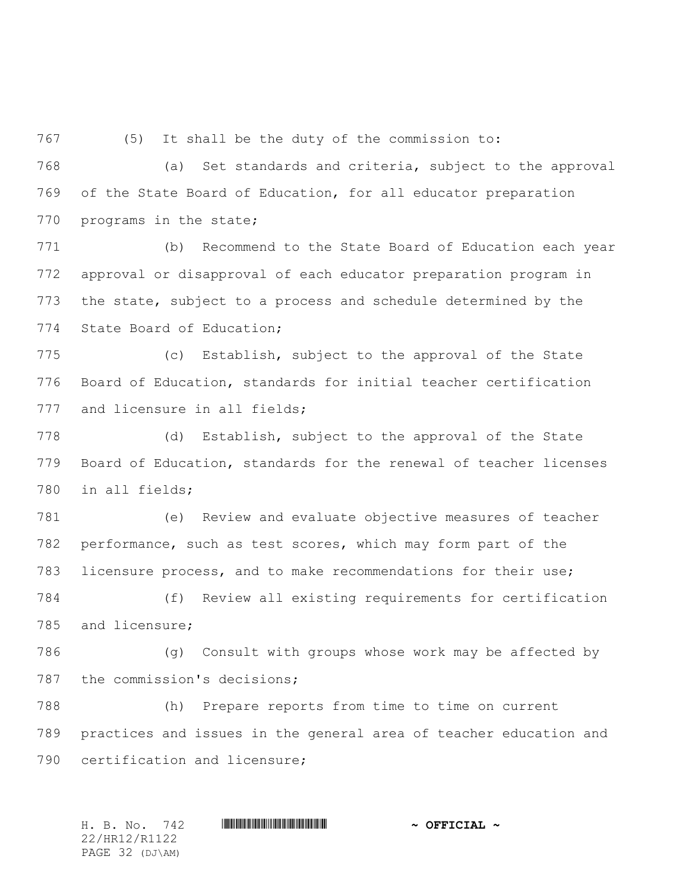(5) It shall be the duty of the commission to:

 (a) Set standards and criteria, subject to the approval of the State Board of Education, for all educator preparation 770 programs in the state;

 (b) Recommend to the State Board of Education each year approval or disapproval of each educator preparation program in the state, subject to a process and schedule determined by the State Board of Education;

 (c) Establish, subject to the approval of the State Board of Education, standards for initial teacher certification 777 and licensure in all fields;

 (d) Establish, subject to the approval of the State Board of Education, standards for the renewal of teacher licenses in all fields;

 (e) Review and evaluate objective measures of teacher performance, such as test scores, which may form part of the licensure process, and to make recommendations for their use;

 (f) Review all existing requirements for certification and licensure;

 (g) Consult with groups whose work may be affected by the commission's decisions;

 (h) Prepare reports from time to time on current practices and issues in the general area of teacher education and certification and licensure;

H. B. No. 742 \*HR12/R1122\* **~ OFFICIAL ~** 22/HR12/R1122 PAGE 32 (DJ\AM)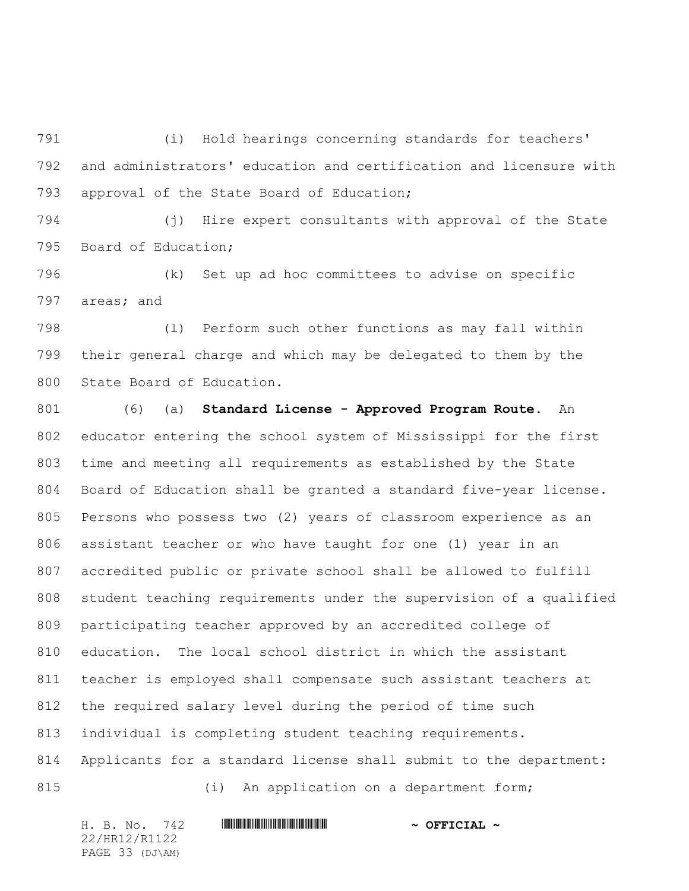(i) Hold hearings concerning standards for teachers' and administrators' education and certification and licensure with approval of the State Board of Education;

 (j) Hire expert consultants with approval of the State Board of Education;

 (k) Set up ad hoc committees to advise on specific areas; and

 (l) Perform such other functions as may fall within their general charge and which may be delegated to them by the State Board of Education.

 (6) (a) **Standard License - Approved Program Route**. An educator entering the school system of Mississippi for the first time and meeting all requirements as established by the State Board of Education shall be granted a standard five-year license. Persons who possess two (2) years of classroom experience as an assistant teacher or who have taught for one (1) year in an accredited public or private school shall be allowed to fulfill student teaching requirements under the supervision of a qualified participating teacher approved by an accredited college of education. The local school district in which the assistant teacher is employed shall compensate such assistant teachers at the required salary level during the period of time such individual is completing student teaching requirements. Applicants for a standard license shall submit to the department: 815 (i) An application on a department form;

22/HR12/R1122 PAGE 33 (DJ\AM)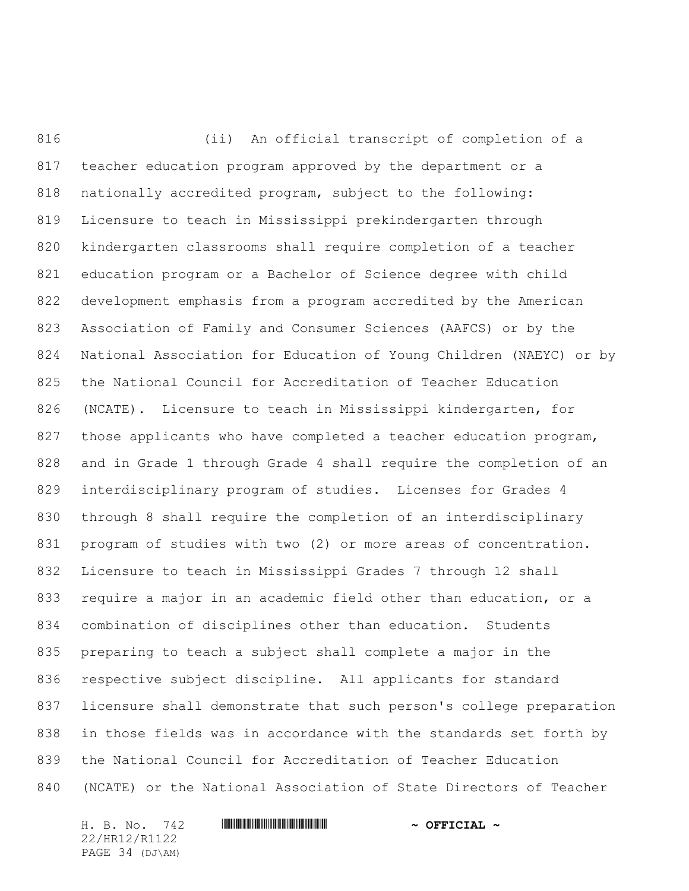(ii) An official transcript of completion of a teacher education program approved by the department or a nationally accredited program, subject to the following: Licensure to teach in Mississippi prekindergarten through kindergarten classrooms shall require completion of a teacher education program or a Bachelor of Science degree with child development emphasis from a program accredited by the American Association of Family and Consumer Sciences (AAFCS) or by the National Association for Education of Young Children (NAEYC) or by the National Council for Accreditation of Teacher Education (NCATE). Licensure to teach in Mississippi kindergarten, for those applicants who have completed a teacher education program, and in Grade 1 through Grade 4 shall require the completion of an interdisciplinary program of studies. Licenses for Grades 4 through 8 shall require the completion of an interdisciplinary program of studies with two (2) or more areas of concentration. Licensure to teach in Mississippi Grades 7 through 12 shall require a major in an academic field other than education, or a combination of disciplines other than education. Students preparing to teach a subject shall complete a major in the respective subject discipline. All applicants for standard licensure shall demonstrate that such person's college preparation in those fields was in accordance with the standards set forth by the National Council for Accreditation of Teacher Education (NCATE) or the National Association of State Directors of Teacher

22/HR12/R1122 PAGE 34 (DJ\AM)

H. B. No. 742 **HRININIA RIPLINIA COFFICIAL** ~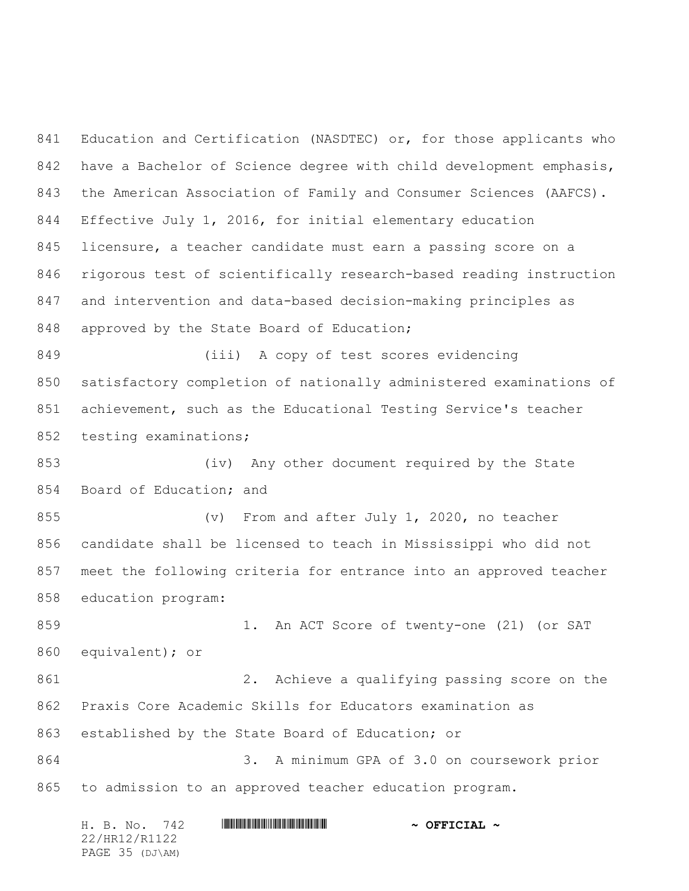Education and Certification (NASDTEC) or, for those applicants who have a Bachelor of Science degree with child development emphasis, the American Association of Family and Consumer Sciences (AAFCS). Effective July 1, 2016, for initial elementary education licensure, a teacher candidate must earn a passing score on a rigorous test of scientifically research-based reading instruction and intervention and data-based decision-making principles as 848 approved by the State Board of Education; (iii) A copy of test scores evidencing satisfactory completion of nationally administered examinations of achievement, such as the Educational Testing Service's teacher testing examinations; (iv) Any other document required by the State Board of Education; and (v) From and after July 1, 2020, no teacher candidate shall be licensed to teach in Mississippi who did not meet the following criteria for entrance into an approved teacher education program: 859 1. An ACT Score of twenty-one (21) (or SAT equivalent); or 2. Achieve a qualifying passing score on the Praxis Core Academic Skills for Educators examination as established by the State Board of Education; or 3. A minimum GPA of 3.0 on coursework prior to admission to an approved teacher education program.

|  | H. B. No. 742   |  | $\sim$ OFFICIAL $\sim$ |
|--|-----------------|--|------------------------|
|  | 22/HR12/R1122   |  |                        |
|  | PAGE 35 (DJ\AM) |  |                        |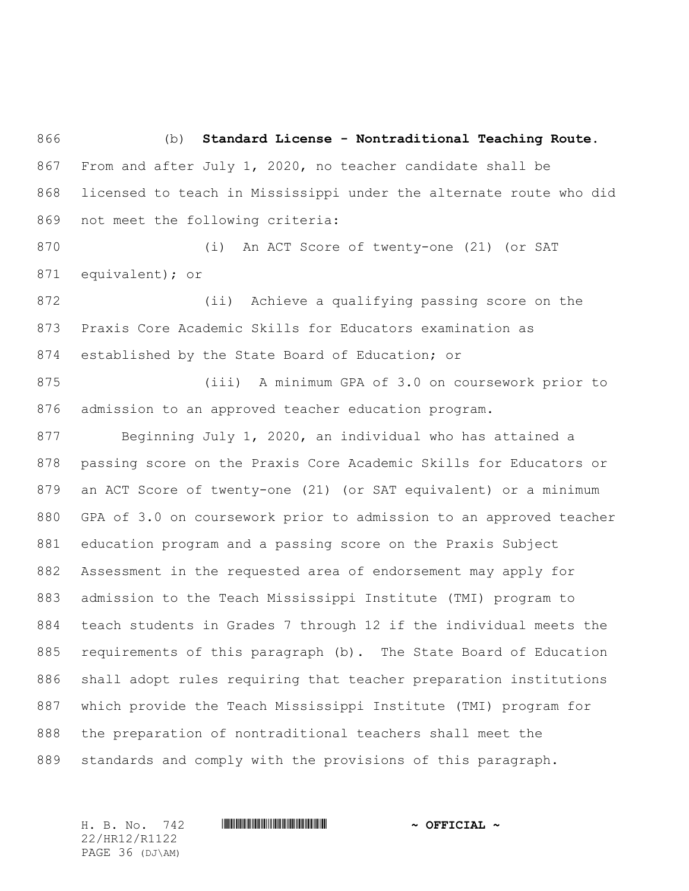(b) **Standard License - Nontraditional Teaching Route**. From and after July 1, 2020, no teacher candidate shall be licensed to teach in Mississippi under the alternate route who did not meet the following criteria:

 (i) An ACT Score of twenty-one (21) (or SAT equivalent); or

 (ii) Achieve a qualifying passing score on the Praxis Core Academic Skills for Educators examination as established by the State Board of Education; or

 (iii) A minimum GPA of 3.0 on coursework prior to admission to an approved teacher education program.

 Beginning July 1, 2020, an individual who has attained a passing score on the Praxis Core Academic Skills for Educators or an ACT Score of twenty-one (21) (or SAT equivalent) or a minimum GPA of 3.0 on coursework prior to admission to an approved teacher education program and a passing score on the Praxis Subject Assessment in the requested area of endorsement may apply for admission to the Teach Mississippi Institute (TMI) program to teach students in Grades 7 through 12 if the individual meets the requirements of this paragraph (b). The State Board of Education shall adopt rules requiring that teacher preparation institutions which provide the Teach Mississippi Institute (TMI) program for the preparation of nontraditional teachers shall meet the standards and comply with the provisions of this paragraph.

22/HR12/R1122 PAGE 36 (DJ\AM)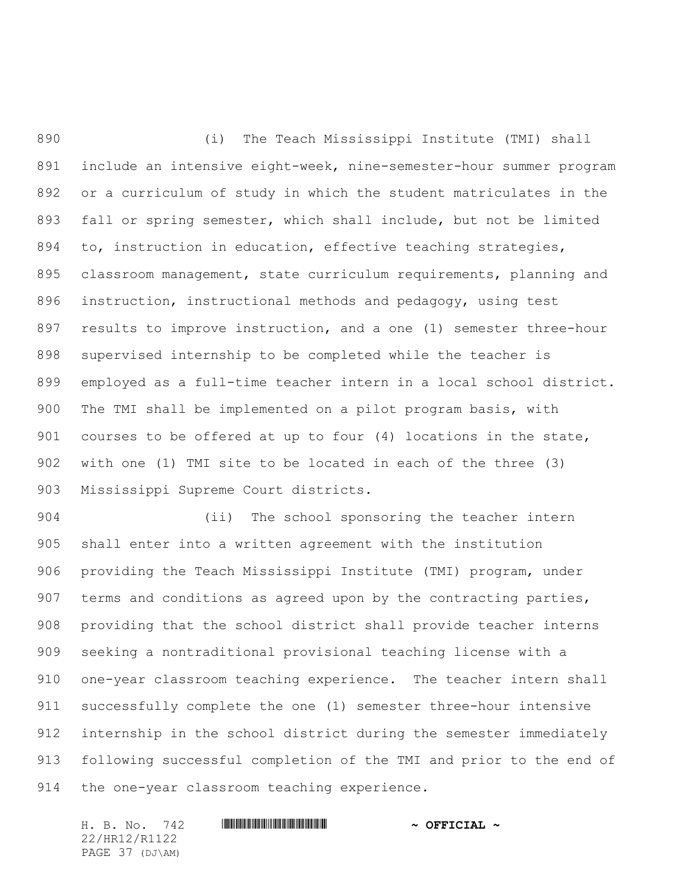(i) The Teach Mississippi Institute (TMI) shall include an intensive eight-week, nine-semester-hour summer program or a curriculum of study in which the student matriculates in the fall or spring semester, which shall include, but not be limited 894 to, instruction in education, effective teaching strategies, classroom management, state curriculum requirements, planning and instruction, instructional methods and pedagogy, using test results to improve instruction, and a one (1) semester three-hour supervised internship to be completed while the teacher is employed as a full-time teacher intern in a local school district. The TMI shall be implemented on a pilot program basis, with courses to be offered at up to four (4) locations in the state, with one (1) TMI site to be located in each of the three (3) Mississippi Supreme Court districts.

 (ii) The school sponsoring the teacher intern shall enter into a written agreement with the institution providing the Teach Mississippi Institute (TMI) program, under terms and conditions as agreed upon by the contracting parties, providing that the school district shall provide teacher interns seeking a nontraditional provisional teaching license with a one-year classroom teaching experience. The teacher intern shall successfully complete the one (1) semester three-hour intensive internship in the school district during the semester immediately following successful completion of the TMI and prior to the end of the one-year classroom teaching experience.

H. B. No. 742 **HRININIA RIPLINIA COFFICIAL** ~ 22/HR12/R1122 PAGE 37 (DJ\AM)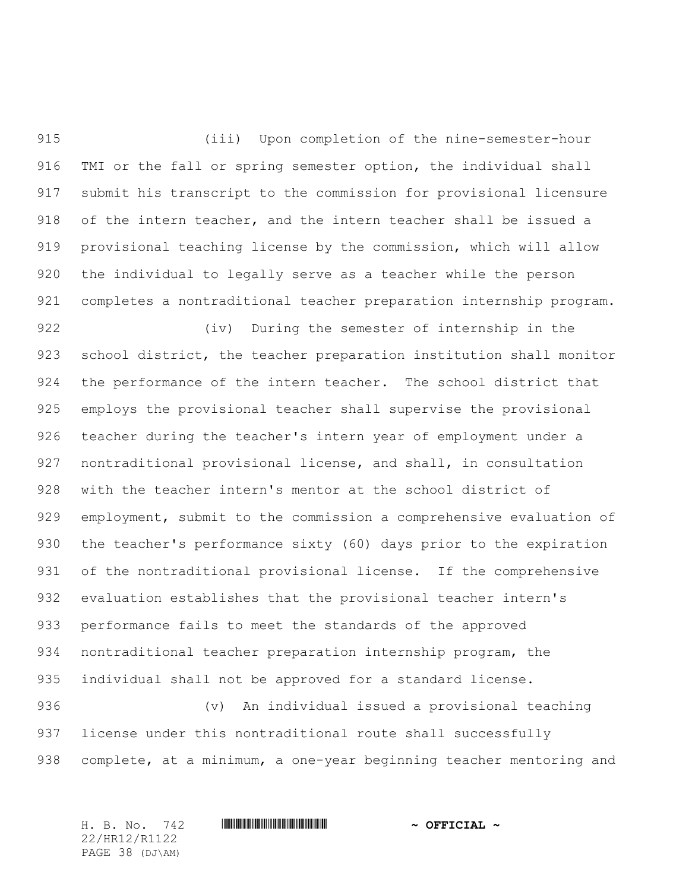(iii) Upon completion of the nine-semester-hour TMI or the fall or spring semester option, the individual shall submit his transcript to the commission for provisional licensure of the intern teacher, and the intern teacher shall be issued a provisional teaching license by the commission, which will allow the individual to legally serve as a teacher while the person completes a nontraditional teacher preparation internship program.

 (iv) During the semester of internship in the school district, the teacher preparation institution shall monitor the performance of the intern teacher. The school district that employs the provisional teacher shall supervise the provisional teacher during the teacher's intern year of employment under a nontraditional provisional license, and shall, in consultation with the teacher intern's mentor at the school district of employment, submit to the commission a comprehensive evaluation of the teacher's performance sixty (60) days prior to the expiration 931 of the nontraditional provisional license. If the comprehensive evaluation establishes that the provisional teacher intern's performance fails to meet the standards of the approved nontraditional teacher preparation internship program, the individual shall not be approved for a standard license.

 (v) An individual issued a provisional teaching license under this nontraditional route shall successfully complete, at a minimum, a one-year beginning teacher mentoring and

22/HR12/R1122 PAGE 38 (DJ\AM)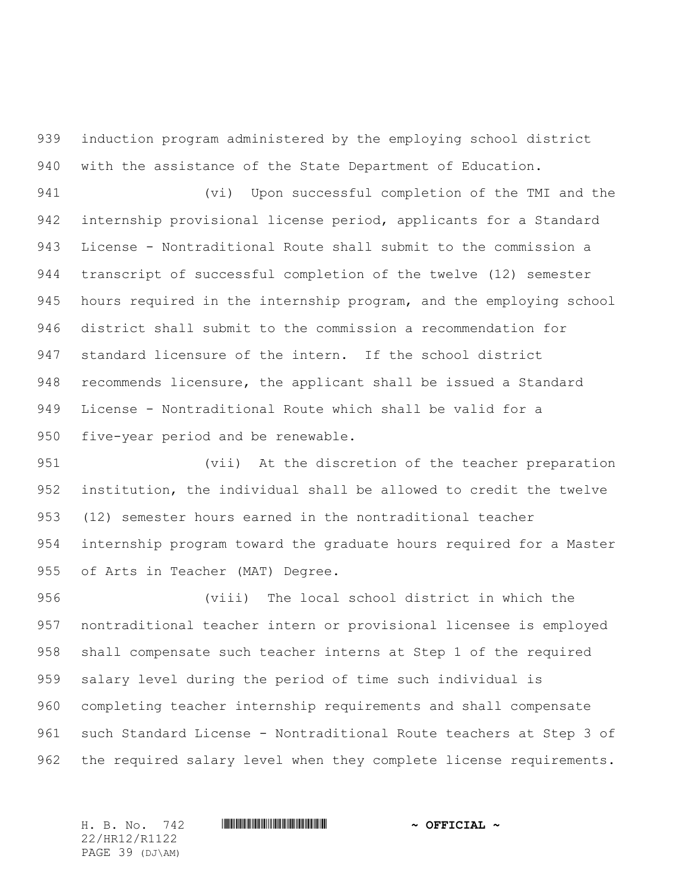induction program administered by the employing school district with the assistance of the State Department of Education.

 (vi) Upon successful completion of the TMI and the internship provisional license period, applicants for a Standard License - Nontraditional Route shall submit to the commission a transcript of successful completion of the twelve (12) semester hours required in the internship program, and the employing school district shall submit to the commission a recommendation for standard licensure of the intern. If the school district recommends licensure, the applicant shall be issued a Standard License - Nontraditional Route which shall be valid for a five-year period and be renewable.

 (vii) At the discretion of the teacher preparation institution, the individual shall be allowed to credit the twelve (12) semester hours earned in the nontraditional teacher internship program toward the graduate hours required for a Master of Arts in Teacher (MAT) Degree.

 (viii) The local school district in which the nontraditional teacher intern or provisional licensee is employed shall compensate such teacher interns at Step 1 of the required salary level during the period of time such individual is completing teacher internship requirements and shall compensate such Standard License - Nontraditional Route teachers at Step 3 of 962 the required salary level when they complete license requirements.

22/HR12/R1122 PAGE 39 (DJ\AM)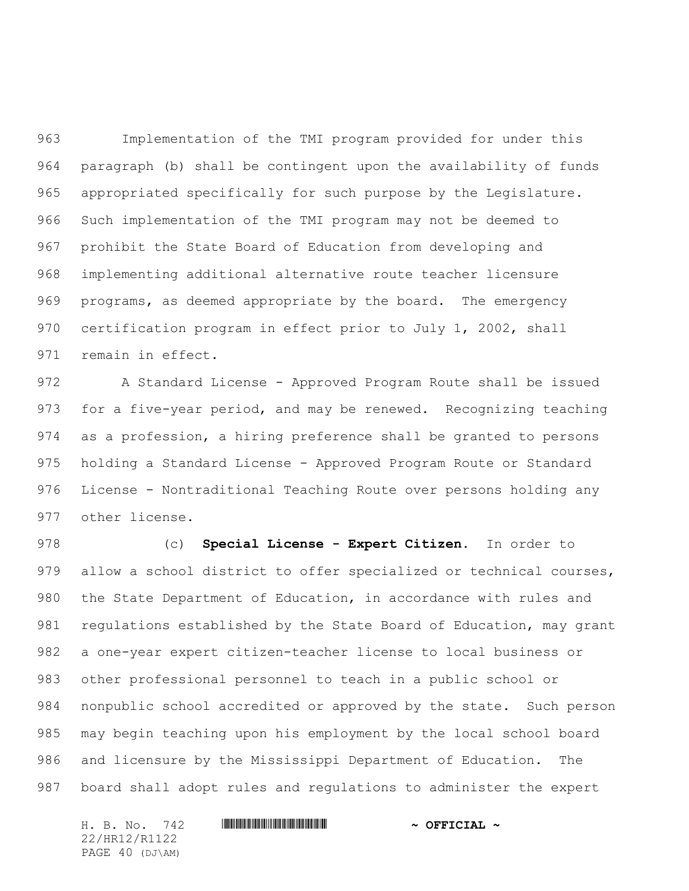Implementation of the TMI program provided for under this paragraph (b) shall be contingent upon the availability of funds appropriated specifically for such purpose by the Legislature. Such implementation of the TMI program may not be deemed to prohibit the State Board of Education from developing and implementing additional alternative route teacher licensure programs, as deemed appropriate by the board. The emergency certification program in effect prior to July 1, 2002, shall remain in effect.

 A Standard License - Approved Program Route shall be issued for a five-year period, and may be renewed. Recognizing teaching as a profession, a hiring preference shall be granted to persons holding a Standard License - Approved Program Route or Standard License - Nontraditional Teaching Route over persons holding any other license.

 (c) **Special License - Expert Citizen**. In order to allow a school district to offer specialized or technical courses, the State Department of Education, in accordance with rules and 981 regulations established by the State Board of Education, may grant a one-year expert citizen-teacher license to local business or other professional personnel to teach in a public school or nonpublic school accredited or approved by the state. Such person may begin teaching upon his employment by the local school board and licensure by the Mississippi Department of Education. The board shall adopt rules and regulations to administer the expert

H. B. No. 742 **HRININIA RIPLINIA COFFICIAL** ~ 22/HR12/R1122 PAGE 40 (DJ\AM)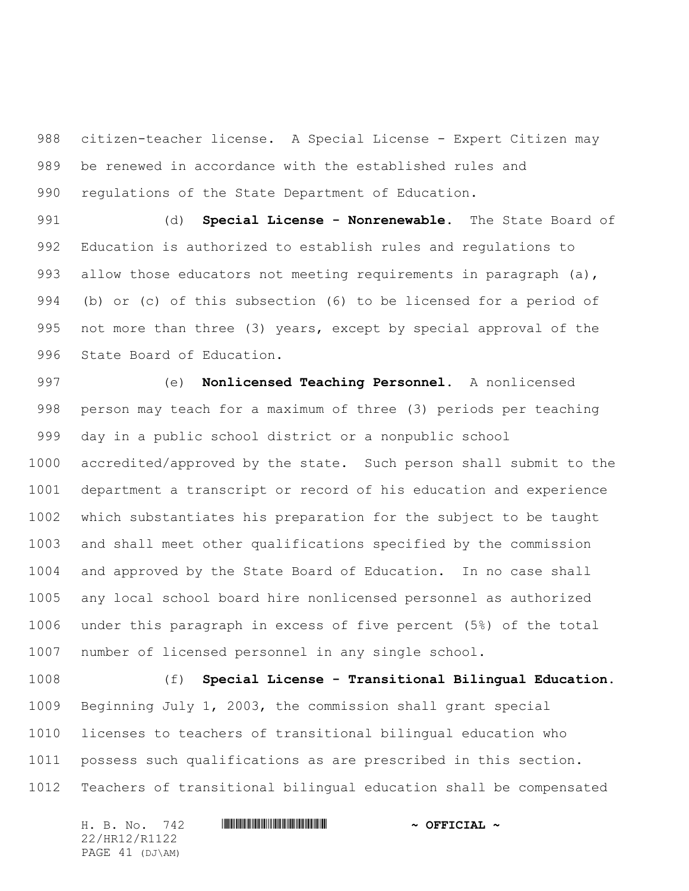citizen-teacher license. A Special License - Expert Citizen may be renewed in accordance with the established rules and regulations of the State Department of Education.

 (d) **Special License - Nonrenewable.** The State Board of Education is authorized to establish rules and regulations to 993 allow those educators not meeting requirements in paragraph (a), (b) or (c) of this subsection (6) to be licensed for a period of not more than three (3) years, except by special approval of the State Board of Education.

 (e) **Nonlicensed Teaching Personnel.** A nonlicensed person may teach for a maximum of three (3) periods per teaching day in a public school district or a nonpublic school accredited/approved by the state. Such person shall submit to the department a transcript or record of his education and experience which substantiates his preparation for the subject to be taught and shall meet other qualifications specified by the commission and approved by the State Board of Education. In no case shall any local school board hire nonlicensed personnel as authorized under this paragraph in excess of five percent (5%) of the total number of licensed personnel in any single school.

 (f) **Special License - Transitional Bilingual Education.** Beginning July 1, 2003, the commission shall grant special licenses to teachers of transitional bilingual education who possess such qualifications as are prescribed in this section. Teachers of transitional bilingual education shall be compensated

H. B. No. 742 **HRININIA RIPLINIA COFFICIAL** ~ 22/HR12/R1122 PAGE 41 (DJ\AM)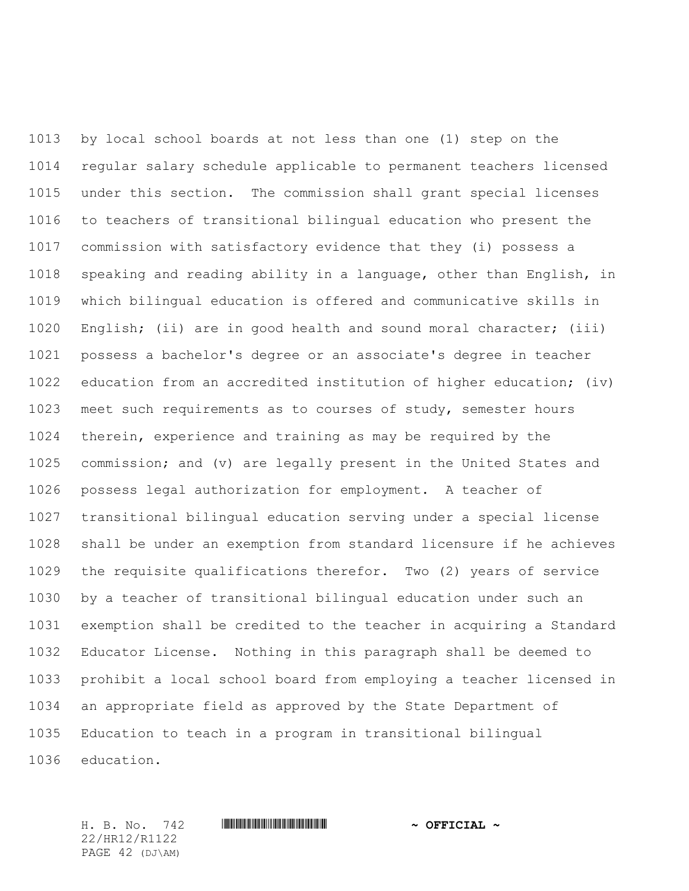by local school boards at not less than one (1) step on the regular salary schedule applicable to permanent teachers licensed under this section. The commission shall grant special licenses to teachers of transitional bilingual education who present the commission with satisfactory evidence that they (i) possess a speaking and reading ability in a language, other than English, in which bilingual education is offered and communicative skills in English; (ii) are in good health and sound moral character; (iii) possess a bachelor's degree or an associate's degree in teacher education from an accredited institution of higher education; (iv) meet such requirements as to courses of study, semester hours therein, experience and training as may be required by the commission; and (v) are legally present in the United States and possess legal authorization for employment. A teacher of transitional bilingual education serving under a special license shall be under an exemption from standard licensure if he achieves the requisite qualifications therefor. Two (2) years of service by a teacher of transitional bilingual education under such an exemption shall be credited to the teacher in acquiring a Standard Educator License. Nothing in this paragraph shall be deemed to prohibit a local school board from employing a teacher licensed in an appropriate field as approved by the State Department of Education to teach in a program in transitional bilingual education.

22/HR12/R1122 PAGE 42 (DJ\AM)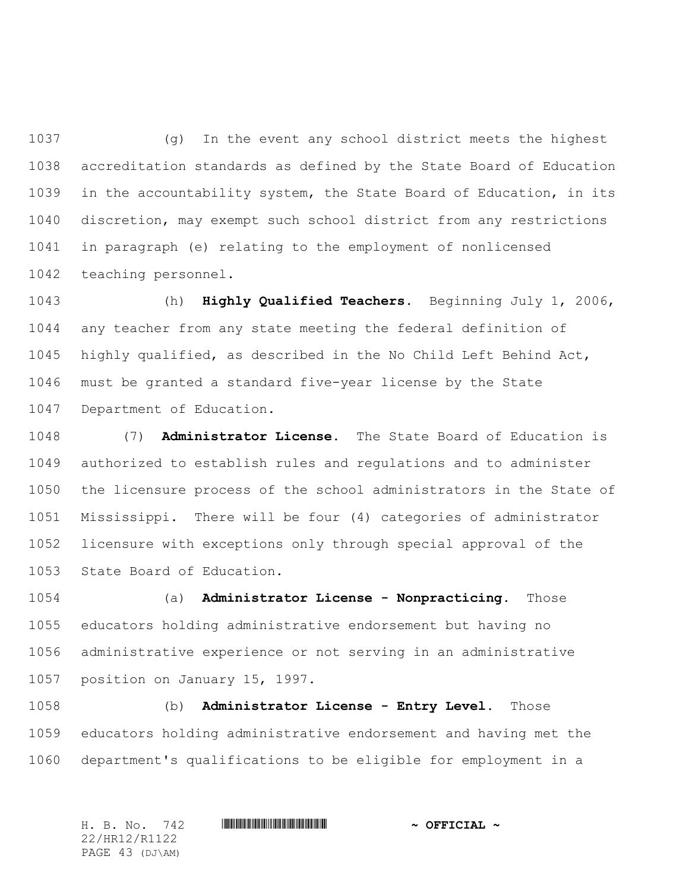(g) In the event any school district meets the highest accreditation standards as defined by the State Board of Education in the accountability system, the State Board of Education, in its discretion, may exempt such school district from any restrictions in paragraph (e) relating to the employment of nonlicensed teaching personnel.

 (h) **Highly Qualified Teachers.** Beginning July 1, 2006, any teacher from any state meeting the federal definition of highly qualified, as described in the No Child Left Behind Act, must be granted a standard five-year license by the State Department of Education.

 (7) **Administrator License.** The State Board of Education is authorized to establish rules and regulations and to administer the licensure process of the school administrators in the State of Mississippi. There will be four (4) categories of administrator licensure with exceptions only through special approval of the State Board of Education.

 (a) **Administrator License - Nonpracticing.** Those educators holding administrative endorsement but having no administrative experience or not serving in an administrative position on January 15, 1997.

 (b) **Administrator License - Entry Level.** Those educators holding administrative endorsement and having met the department's qualifications to be eligible for employment in a

H. B. No. 742 \*HR12/R1122\* **~ OFFICIAL ~** 22/HR12/R1122 PAGE 43 (DJ\AM)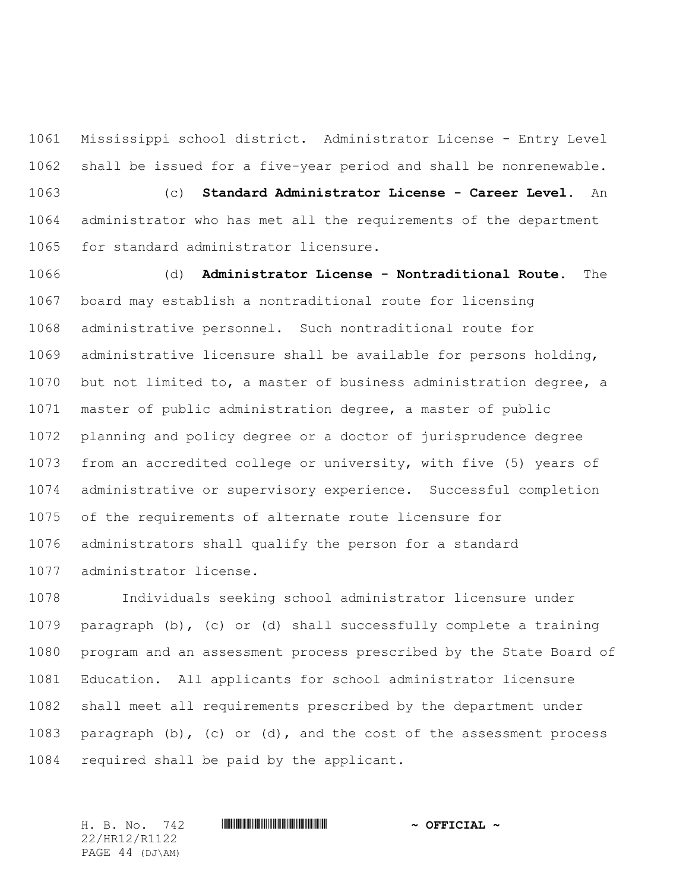Mississippi school district. Administrator License - Entry Level shall be issued for a five-year period and shall be nonrenewable. (c) **Standard Administrator License - Career Level.** An administrator who has met all the requirements of the department for standard administrator licensure.

 (d) **Administrator License - Nontraditional Route.** The board may establish a nontraditional route for licensing administrative personnel. Such nontraditional route for administrative licensure shall be available for persons holding, but not limited to, a master of business administration degree, a master of public administration degree, a master of public planning and policy degree or a doctor of jurisprudence degree from an accredited college or university, with five (5) years of administrative or supervisory experience. Successful completion of the requirements of alternate route licensure for administrators shall qualify the person for a standard administrator license.

 Individuals seeking school administrator licensure under paragraph (b), (c) or (d) shall successfully complete a training program and an assessment process prescribed by the State Board of Education. All applicants for school administrator licensure shall meet all requirements prescribed by the department under paragraph (b), (c) or (d), and the cost of the assessment process required shall be paid by the applicant.

22/HR12/R1122 PAGE 44 (DJ\AM)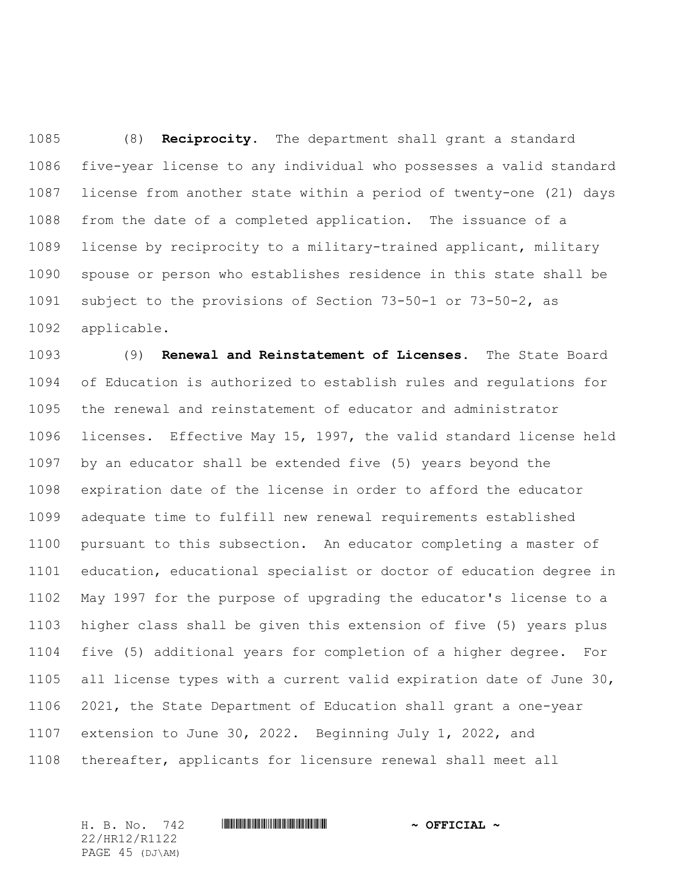(8) **Reciprocity.** The department shall grant a standard five-year license to any individual who possesses a valid standard license from another state within a period of twenty-one (21) days from the date of a completed application. The issuance of a license by reciprocity to a military-trained applicant, military spouse or person who establishes residence in this state shall be subject to the provisions of Section 73-50-1 or 73-50-2, as applicable.

 (9) **Renewal and Reinstatement of Licenses.** The State Board of Education is authorized to establish rules and regulations for the renewal and reinstatement of educator and administrator licenses. Effective May 15, 1997, the valid standard license held by an educator shall be extended five (5) years beyond the expiration date of the license in order to afford the educator adequate time to fulfill new renewal requirements established pursuant to this subsection. An educator completing a master of education, educational specialist or doctor of education degree in May 1997 for the purpose of upgrading the educator's license to a higher class shall be given this extension of five (5) years plus five (5) additional years for completion of a higher degree. For all license types with a current valid expiration date of June 30, 2021, the State Department of Education shall grant a one-year extension to June 30, 2022. Beginning July 1, 2022, and thereafter, applicants for licensure renewal shall meet all

22/HR12/R1122 PAGE 45 (DJ\AM)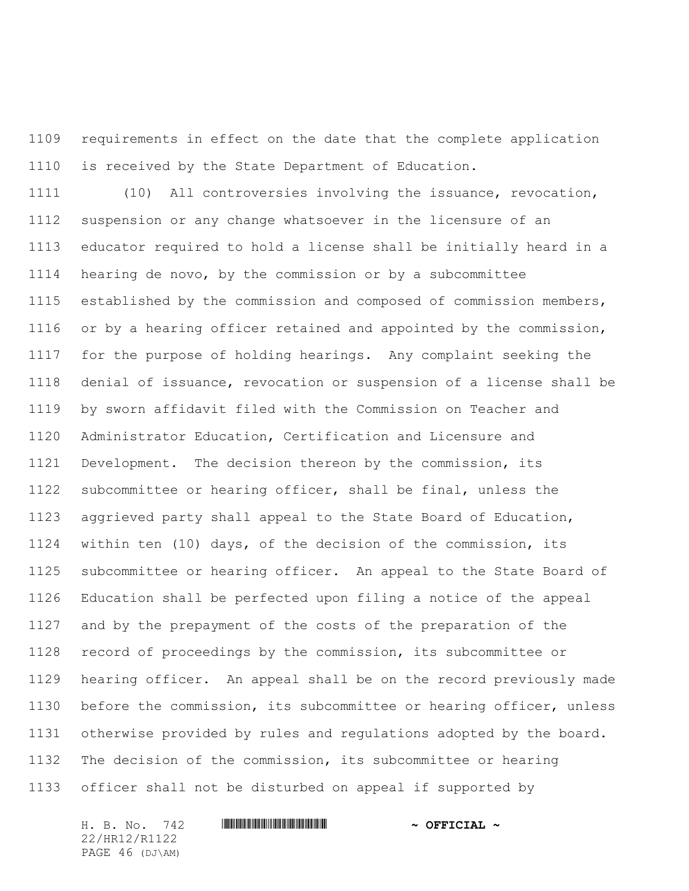requirements in effect on the date that the complete application is received by the State Department of Education.

 (10) All controversies involving the issuance, revocation, suspension or any change whatsoever in the licensure of an educator required to hold a license shall be initially heard in a hearing de novo, by the commission or by a subcommittee established by the commission and composed of commission members, or by a hearing officer retained and appointed by the commission, for the purpose of holding hearings. Any complaint seeking the denial of issuance, revocation or suspension of a license shall be by sworn affidavit filed with the Commission on Teacher and Administrator Education, Certification and Licensure and Development. The decision thereon by the commission, its subcommittee or hearing officer, shall be final, unless the aggrieved party shall appeal to the State Board of Education, within ten (10) days, of the decision of the commission, its subcommittee or hearing officer. An appeal to the State Board of Education shall be perfected upon filing a notice of the appeal and by the prepayment of the costs of the preparation of the record of proceedings by the commission, its subcommittee or hearing officer. An appeal shall be on the record previously made before the commission, its subcommittee or hearing officer, unless otherwise provided by rules and regulations adopted by the board. The decision of the commission, its subcommittee or hearing officer shall not be disturbed on appeal if supported by

22/HR12/R1122 PAGE 46 (DJ\AM)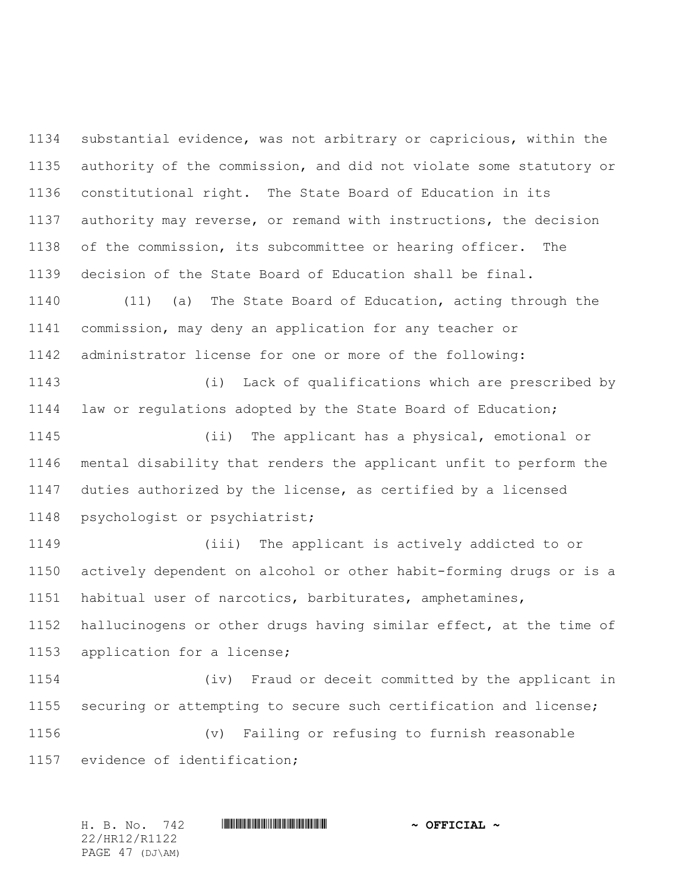substantial evidence, was not arbitrary or capricious, within the authority of the commission, and did not violate some statutory or constitutional right. The State Board of Education in its authority may reverse, or remand with instructions, the decision of the commission, its subcommittee or hearing officer. The decision of the State Board of Education shall be final.

 (11) (a) The State Board of Education, acting through the commission, may deny an application for any teacher or administrator license for one or more of the following:

 (i) Lack of qualifications which are prescribed by law or regulations adopted by the State Board of Education;

 (ii) The applicant has a physical, emotional or mental disability that renders the applicant unfit to perform the duties authorized by the license, as certified by a licensed psychologist or psychiatrist;

 (iii) The applicant is actively addicted to or actively dependent on alcohol or other habit-forming drugs or is a habitual user of narcotics, barbiturates, amphetamines, hallucinogens or other drugs having similar effect, at the time of application for a license;

 (iv) Fraud or deceit committed by the applicant in securing or attempting to secure such certification and license; (v) Failing or refusing to furnish reasonable evidence of identification;

H. B. No. 742 \*HR12/R1122\* **~ OFFICIAL ~** 22/HR12/R1122 PAGE 47 (DJ\AM)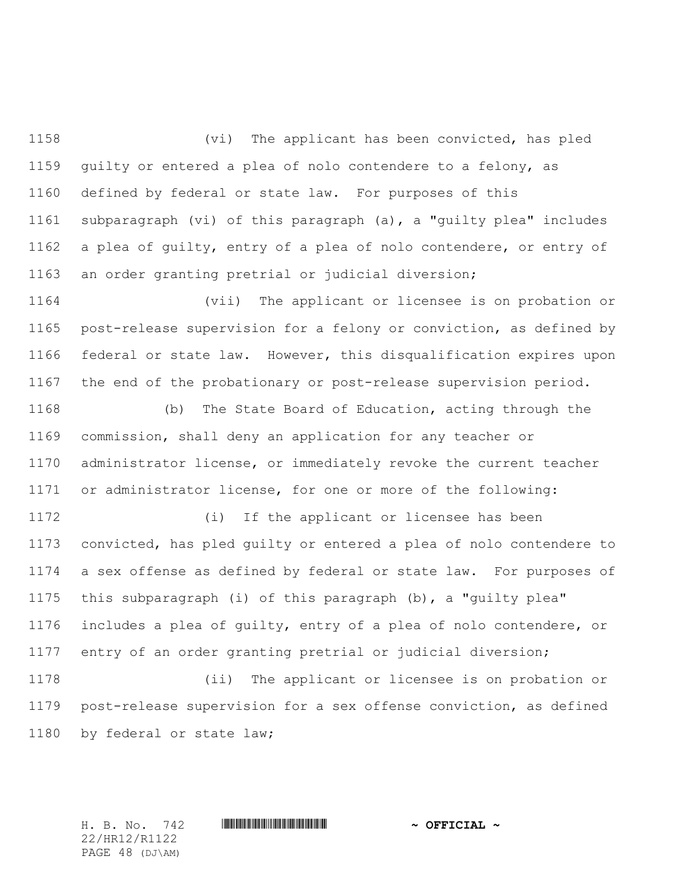(vi) The applicant has been convicted, has pled guilty or entered a plea of nolo contendere to a felony, as defined by federal or state law. For purposes of this subparagraph (vi) of this paragraph (a), a "guilty plea" includes a plea of guilty, entry of a plea of nolo contendere, or entry of an order granting pretrial or judicial diversion;

 (vii) The applicant or licensee is on probation or post-release supervision for a felony or conviction, as defined by federal or state law. However, this disqualification expires upon the end of the probationary or post-release supervision period.

 (b) The State Board of Education, acting through the commission, shall deny an application for any teacher or administrator license, or immediately revoke the current teacher or administrator license, for one or more of the following:

 (i) If the applicant or licensee has been convicted, has pled guilty or entered a plea of nolo contendere to a sex offense as defined by federal or state law. For purposes of this subparagraph (i) of this paragraph (b), a "guilty plea" includes a plea of guilty, entry of a plea of nolo contendere, or entry of an order granting pretrial or judicial diversion;

 (ii) The applicant or licensee is on probation or post-release supervision for a sex offense conviction, as defined by federal or state law;

22/HR12/R1122 PAGE 48 (DJ\AM)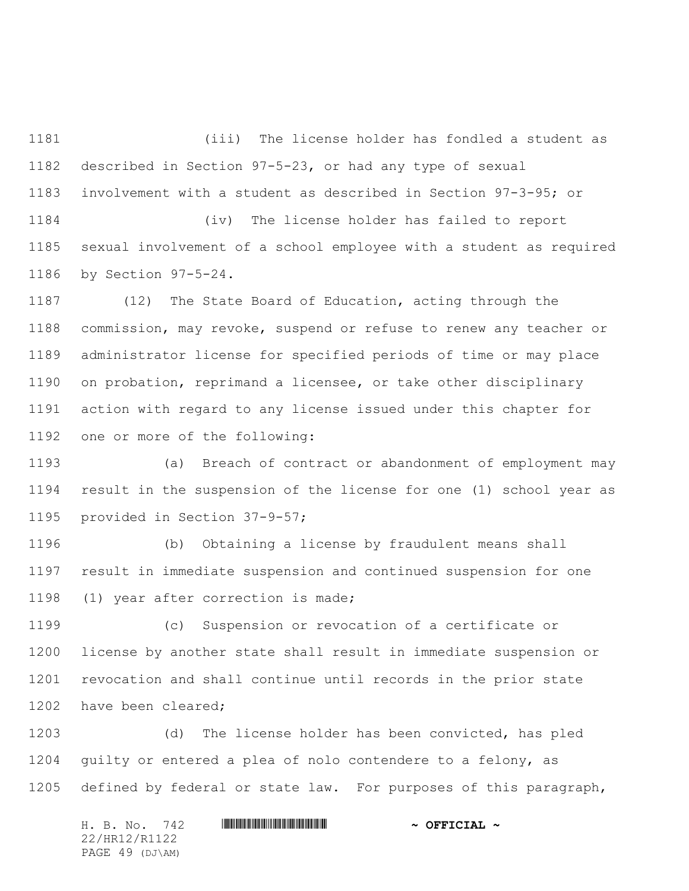(iii) The license holder has fondled a student as described in Section 97-5-23, or had any type of sexual involvement with a student as described in Section 97-3-95; or

 (iv) The license holder has failed to report sexual involvement of a school employee with a student as required by Section 97-5-24.

 (12) The State Board of Education, acting through the commission, may revoke, suspend or refuse to renew any teacher or administrator license for specified periods of time or may place on probation, reprimand a licensee, or take other disciplinary action with regard to any license issued under this chapter for one or more of the following:

 (a) Breach of contract or abandonment of employment may result in the suspension of the license for one (1) school year as provided in Section 37-9-57;

 (b) Obtaining a license by fraudulent means shall result in immediate suspension and continued suspension for one (1) year after correction is made;

 (c) Suspension or revocation of a certificate or license by another state shall result in immediate suspension or revocation and shall continue until records in the prior state have been cleared;

 (d) The license holder has been convicted, has pled guilty or entered a plea of nolo contendere to a felony, as defined by federal or state law. For purposes of this paragraph,

| H. B. No. 742   | $\sim$ OFFICIAL $\sim$ |
|-----------------|------------------------|
| 22/HR12/R1122   |                        |
| PAGE 49 (DJ\AM) |                        |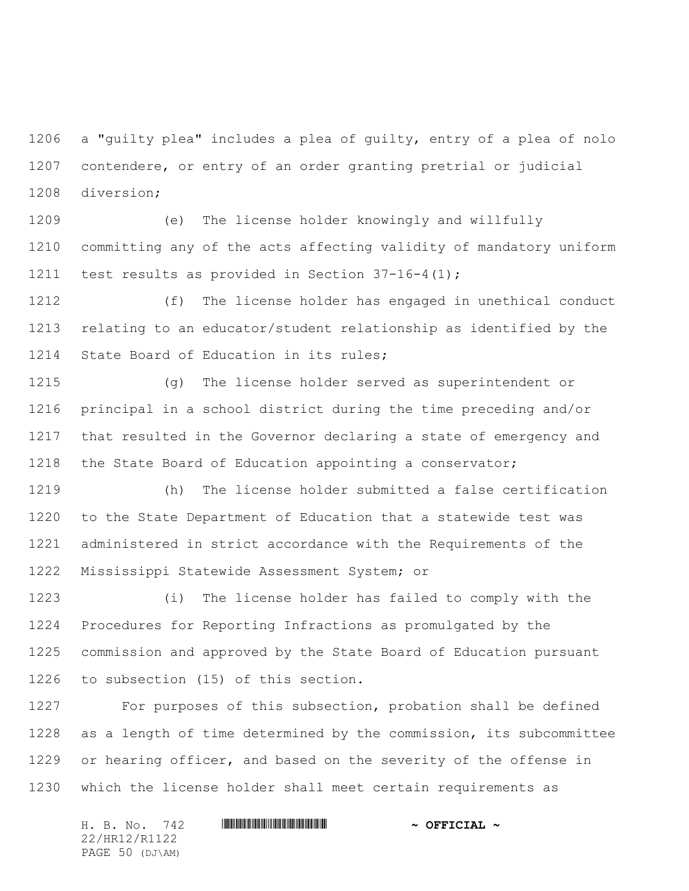a "guilty plea" includes a plea of guilty, entry of a plea of nolo contendere, or entry of an order granting pretrial or judicial diversion;

 (e) The license holder knowingly and willfully committing any of the acts affecting validity of mandatory uniform test results as provided in Section 37-16-4(1);

 (f) The license holder has engaged in unethical conduct relating to an educator/student relationship as identified by the 1214 State Board of Education in its rules;

 (g) The license holder served as superintendent or principal in a school district during the time preceding and/or that resulted in the Governor declaring a state of emergency and the State Board of Education appointing a conservator;

 (h) The license holder submitted a false certification to the State Department of Education that a statewide test was administered in strict accordance with the Requirements of the Mississippi Statewide Assessment System; or

 (i) The license holder has failed to comply with the Procedures for Reporting Infractions as promulgated by the commission and approved by the State Board of Education pursuant to subsection (15) of this section.

 For purposes of this subsection, probation shall be defined as a length of time determined by the commission, its subcommittee 1229 or hearing officer, and based on the severity of the offense in which the license holder shall meet certain requirements as

H. B. No. 742 \*HR12/R1122\* **~ OFFICIAL ~** 22/HR12/R1122 PAGE 50 (DJ\AM)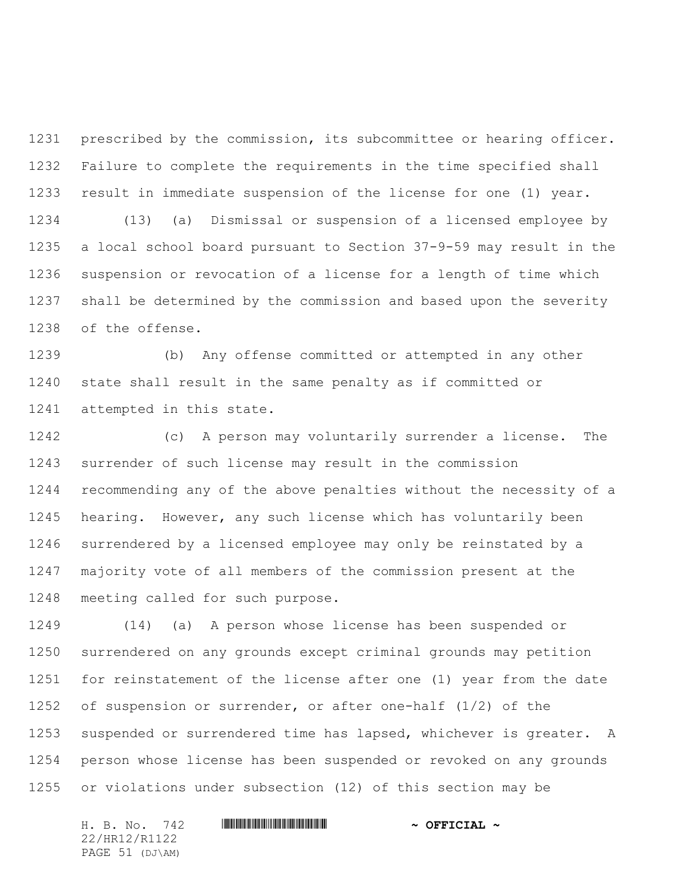prescribed by the commission, its subcommittee or hearing officer. Failure to complete the requirements in the time specified shall result in immediate suspension of the license for one (1) year. (13) (a) Dismissal or suspension of a licensed employee by a local school board pursuant to Section 37-9-59 may result in the suspension or revocation of a license for a length of time which shall be determined by the commission and based upon the severity of the offense.

 (b) Any offense committed or attempted in any other state shall result in the same penalty as if committed or attempted in this state.

 (c) A person may voluntarily surrender a license. The surrender of such license may result in the commission recommending any of the above penalties without the necessity of a hearing. However, any such license which has voluntarily been surrendered by a licensed employee may only be reinstated by a majority vote of all members of the commission present at the meeting called for such purpose.

 (14) (a) A person whose license has been suspended or surrendered on any grounds except criminal grounds may petition for reinstatement of the license after one (1) year from the date of suspension or surrender, or after one-half (1/2) of the 1253 suspended or surrendered time has lapsed, whichever is greater. A person whose license has been suspended or revoked on any grounds or violations under subsection (12) of this section may be

H. B. No. 742 \*HR12/R1122\* **~ OFFICIAL ~** 22/HR12/R1122 PAGE 51 (DJ\AM)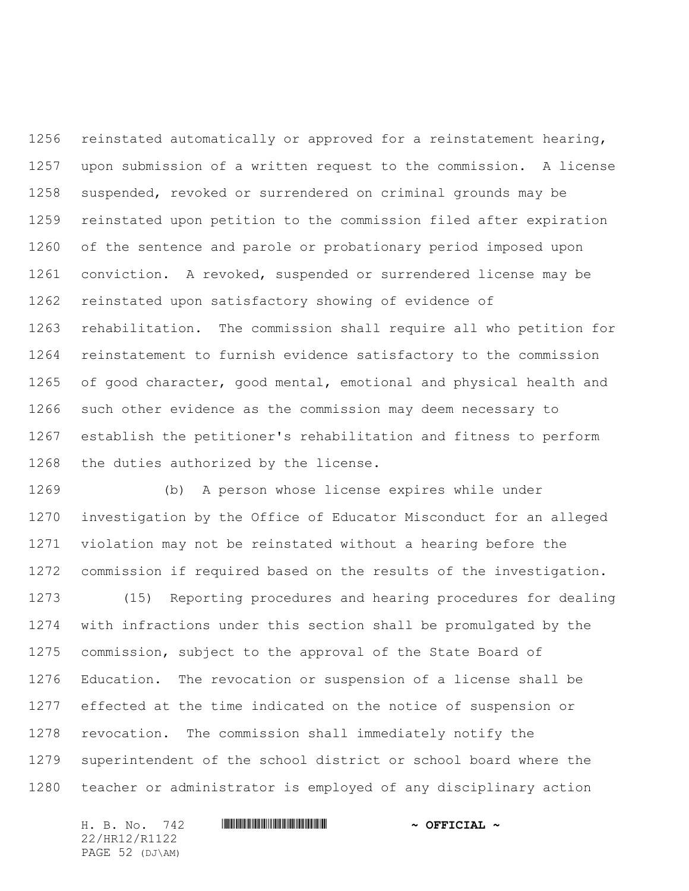reinstated automatically or approved for a reinstatement hearing, upon submission of a written request to the commission. A license suspended, revoked or surrendered on criminal grounds may be reinstated upon petition to the commission filed after expiration of the sentence and parole or probationary period imposed upon conviction. A revoked, suspended or surrendered license may be reinstated upon satisfactory showing of evidence of rehabilitation. The commission shall require all who petition for reinstatement to furnish evidence satisfactory to the commission of good character, good mental, emotional and physical health and such other evidence as the commission may deem necessary to establish the petitioner's rehabilitation and fitness to perform the duties authorized by the license.

 (b) A person whose license expires while under investigation by the Office of Educator Misconduct for an alleged violation may not be reinstated without a hearing before the commission if required based on the results of the investigation.

 (15) Reporting procedures and hearing procedures for dealing with infractions under this section shall be promulgated by the commission, subject to the approval of the State Board of Education. The revocation or suspension of a license shall be effected at the time indicated on the notice of suspension or revocation. The commission shall immediately notify the superintendent of the school district or school board where the teacher or administrator is employed of any disciplinary action

22/HR12/R1122 PAGE 52 (DJ\AM)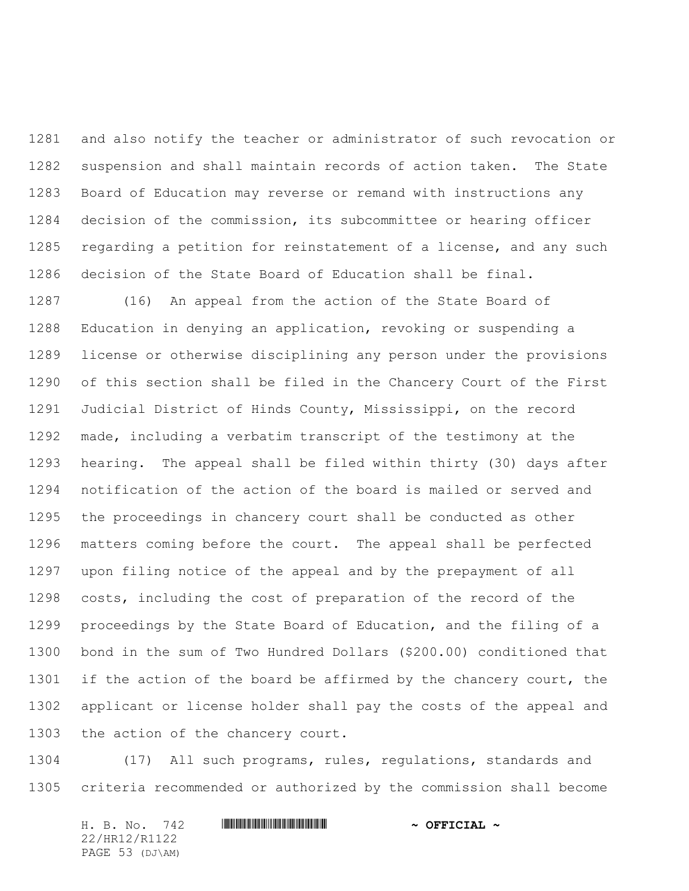and also notify the teacher or administrator of such revocation or suspension and shall maintain records of action taken. The State Board of Education may reverse or remand with instructions any decision of the commission, its subcommittee or hearing officer regarding a petition for reinstatement of a license, and any such decision of the State Board of Education shall be final.

 (16) An appeal from the action of the State Board of Education in denying an application, revoking or suspending a license or otherwise disciplining any person under the provisions of this section shall be filed in the Chancery Court of the First Judicial District of Hinds County, Mississippi, on the record made, including a verbatim transcript of the testimony at the hearing. The appeal shall be filed within thirty (30) days after notification of the action of the board is mailed or served and the proceedings in chancery court shall be conducted as other matters coming before the court. The appeal shall be perfected upon filing notice of the appeal and by the prepayment of all costs, including the cost of preparation of the record of the proceedings by the State Board of Education, and the filing of a bond in the sum of Two Hundred Dollars (\$200.00) conditioned that 1301 if the action of the board be affirmed by the chancery court, the applicant or license holder shall pay the costs of the appeal and the action of the chancery court.

 (17) All such programs, rules, regulations, standards and criteria recommended or authorized by the commission shall become

H. B. No. 742 \*HR12/R1122\* **~ OFFICIAL ~** 22/HR12/R1122 PAGE 53 (DJ\AM)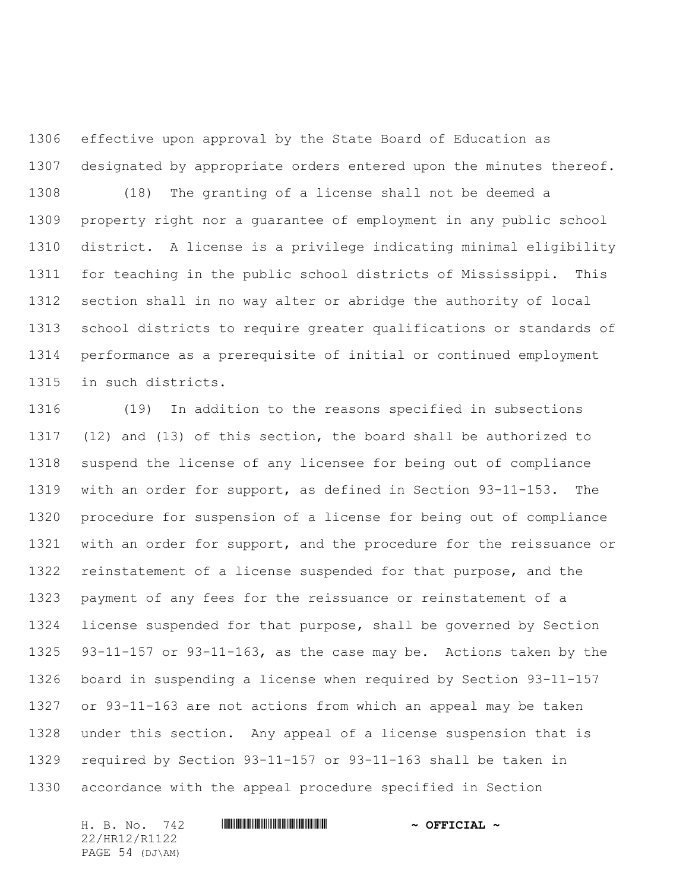effective upon approval by the State Board of Education as designated by appropriate orders entered upon the minutes thereof. (18) The granting of a license shall not be deemed a property right nor a guarantee of employment in any public school district. A license is a privilege indicating minimal eligibility for teaching in the public school districts of Mississippi. This section shall in no way alter or abridge the authority of local school districts to require greater qualifications or standards of performance as a prerequisite of initial or continued employment in such districts.

 (19) In addition to the reasons specified in subsections (12) and (13) of this section, the board shall be authorized to suspend the license of any licensee for being out of compliance with an order for support, as defined in Section 93-11-153. The procedure for suspension of a license for being out of compliance with an order for support, and the procedure for the reissuance or reinstatement of a license suspended for that purpose, and the payment of any fees for the reissuance or reinstatement of a license suspended for that purpose, shall be governed by Section 93-11-157 or 93-11-163, as the case may be. Actions taken by the board in suspending a license when required by Section 93-11-157 or 93-11-163 are not actions from which an appeal may be taken under this section. Any appeal of a license suspension that is required by Section 93-11-157 or 93-11-163 shall be taken in accordance with the appeal procedure specified in Section

22/HR12/R1122 PAGE 54 (DJ\AM)

# H. B. No. 742 **HRININIA RIPLINIA COFFICIAL** ~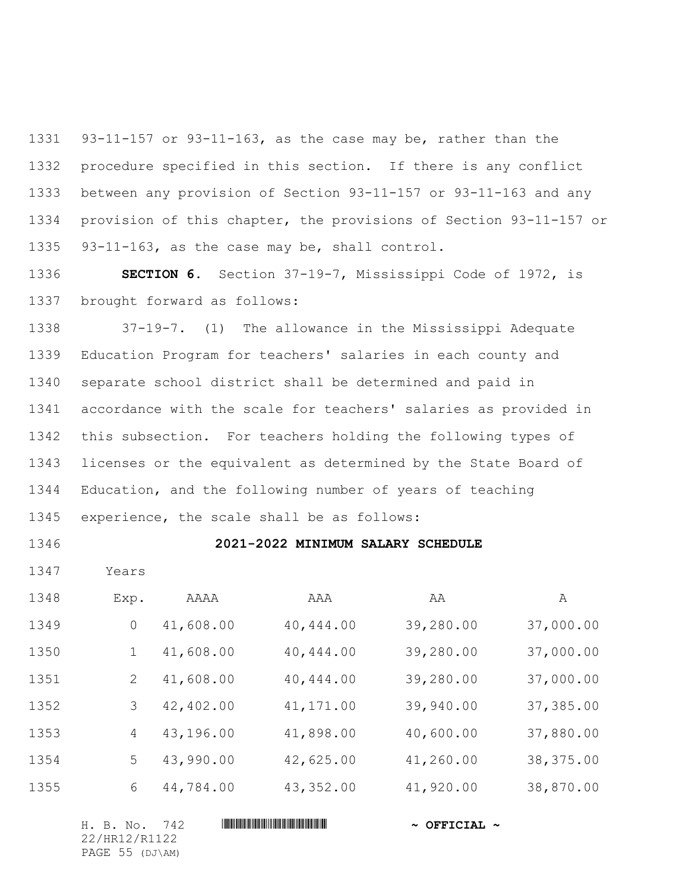93-11-157 or 93-11-163, as the case may be, rather than the procedure specified in this section. If there is any conflict between any provision of Section 93-11-157 or 93-11-163 and any provision of this chapter, the provisions of Section 93-11-157 or 93-11-163, as the case may be, shall control.

 **SECTION 6.** Section 37-19-7, Mississippi Code of 1972, is brought forward as follows:

 37-19-7. (1) The allowance in the Mississippi Adequate Education Program for teachers' salaries in each county and separate school district shall be determined and paid in accordance with the scale for teachers' salaries as provided in this subsection. For teachers holding the following types of licenses or the equivalent as determined by the State Board of Education, and the following number of years of teaching experience, the scale shall be as follows:

# **2021-2022 MINIMUM SALARY SCHEDULE**

1347 Years

| 1348 | Exp.           | AAAA      | AAA        | ΑA        | A          |
|------|----------------|-----------|------------|-----------|------------|
| 1349 | $\Omega$       | 41,608.00 | 40,444.00  | 39,280.00 | 37,000.00  |
| 1350 |                | 41,608.00 | 40,444.00  | 39,280.00 | 37,000.00  |
| 1351 | 2              | 41,608.00 | 40,444.00  | 39,280.00 | 37,000.00  |
| 1352 | 3              | 42,402.00 | 41, 171.00 | 39,940.00 | 37,385.00  |
| 1353 | $\overline{4}$ | 43,196.00 | 41,898.00  | 40,600.00 | 37,880.00  |
| 1354 | 5              | 43,990.00 | 42,625.00  | 41,260.00 | 38, 375.00 |
| 1355 | 6              | 44,784.00 | 43, 352.00 | 41,920.00 | 38,870.00  |

| H. B. No. 742   | $\sim$ OFFICIAL $\sim$ |
|-----------------|------------------------|
| 22/HR12/R1122   |                        |
| PAGE 55 (DJ\AM) |                        |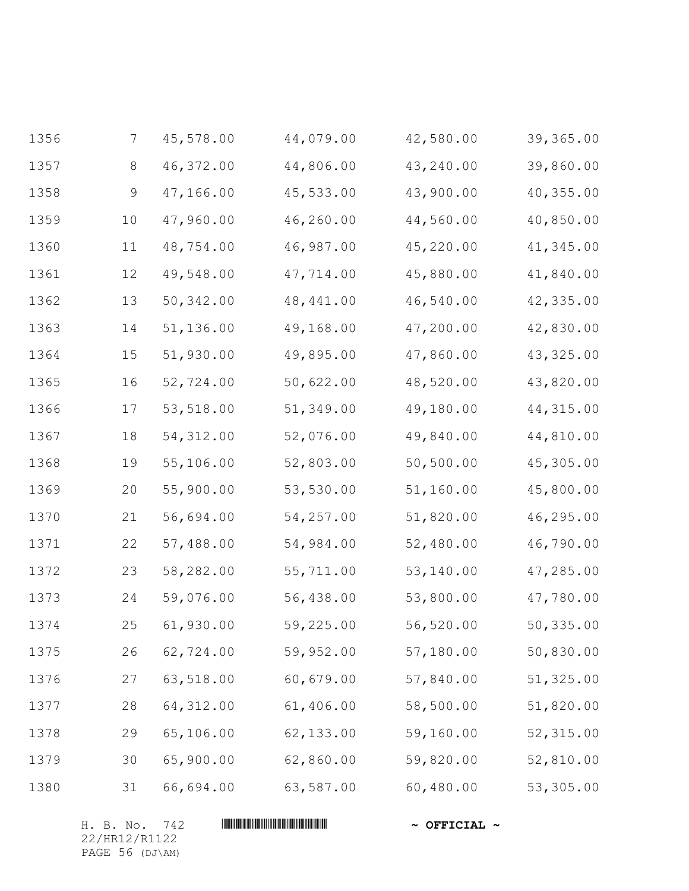| 1356 | $\overline{7}$ | 45,578.00  | 44,079.00  | 42,580.00 | 39,365.00  |
|------|----------------|------------|------------|-----------|------------|
| 1357 | 8              | 46,372.00  | 44,806.00  | 43,240.00 | 39,860.00  |
| 1358 | 9              | 47,166.00  | 45,533.00  | 43,900.00 | 40,355.00  |
| 1359 | 10             | 47,960.00  | 46,260.00  | 44,560.00 | 40,850.00  |
| 1360 | 11             | 48,754.00  | 46,987.00  | 45,220.00 | 41,345.00  |
| 1361 | 12             | 49,548.00  | 47,714.00  | 45,880.00 | 41,840.00  |
| 1362 | $13$           | 50,342.00  | 48, 441.00 | 46,540.00 | 42,335.00  |
| 1363 | 14             | 51,136.00  | 49,168.00  | 47,200.00 | 42,830.00  |
| 1364 | 15             | 51,930.00  | 49,895.00  | 47,860.00 | 43, 325.00 |
| 1365 | 16             | 52,724.00  | 50,622.00  | 48,520.00 | 43,820.00  |
| 1366 | 17             | 53,518.00  | 51,349.00  | 49,180.00 | 44,315.00  |
| 1367 | 18             | 54, 312.00 | 52,076.00  | 49,840.00 | 44,810.00  |
| 1368 | 19             | 55,106.00  | 52,803.00  | 50,500.00 | 45,305.00  |
| 1369 | 20             | 55,900.00  | 53,530.00  | 51,160.00 | 45,800.00  |
| 1370 | 21             | 56,694.00  | 54,257.00  | 51,820.00 | 46,295.00  |
| 1371 | 22             | 57,488.00  | 54,984.00  | 52,480.00 | 46,790.00  |
| 1372 | 23             | 58,282.00  | 55,711.00  | 53,140.00 | 47,285.00  |
| 1373 | 24             | 59,076.00  | 56,438.00  | 53,800.00 | 47,780.00  |
| 1374 | 25             | 61,930.00  | 59,225.00  | 56,520.00 | 50,335.00  |
| 1375 | 26             | 62,724.00  | 59,952.00  | 57,180.00 | 50,830.00  |
| 1376 | 27             | 63,518.00  | 60,679.00  | 57,840.00 | 51,325.00  |
| 1377 | 28             | 64,312.00  | 61,406.00  | 58,500.00 | 51,820.00  |
| 1378 | 29             | 65,106.00  | 62,133.00  | 59,160.00 | 52,315.00  |
| 1379 | 30             | 65,900.00  | 62,860.00  | 59,820.00 | 52,810.00  |
| 1380 | 31             | 66,694.00  | 63,587.00  | 60,480.00 | 53,305.00  |

H. B. No. 742 **HRININIA RIPLINIA \*** OFFICIAL \* 22/HR12/R1122 PAGE 56 (DJ\AM)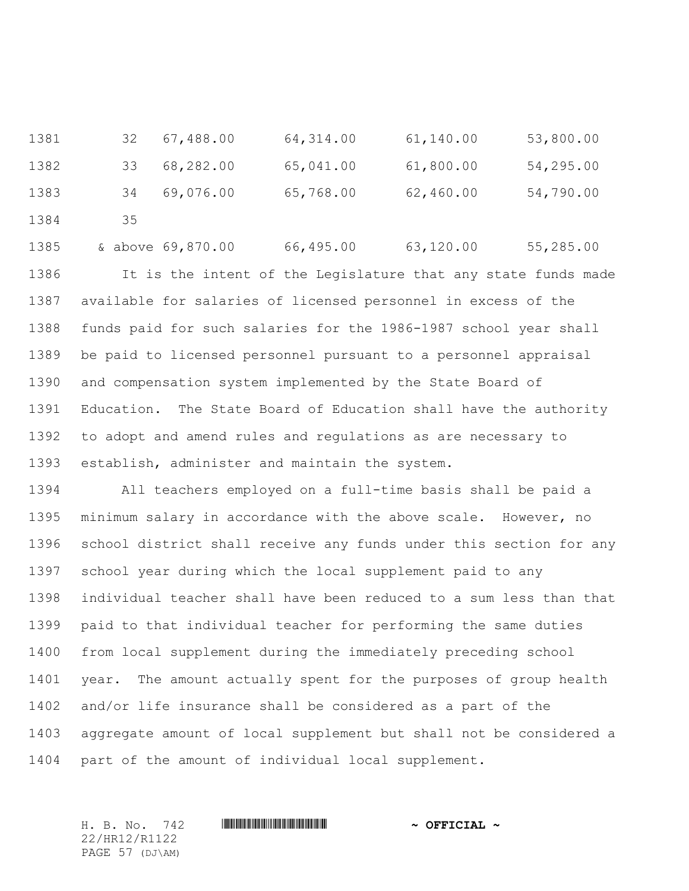32 67,488.00 64,314.00 61,140.00 53,800.00 33 68,282.00 65,041.00 61,800.00 54,295.00 34 69,076.00 65,768.00 62,460.00 54,790.00 1384 35

1385 & above 69,870.00 66,495.00 63,120.00 55,285.00 It is the intent of the Legislature that any state funds made available for salaries of licensed personnel in excess of the funds paid for such salaries for the 1986-1987 school year shall be paid to licensed personnel pursuant to a personnel appraisal and compensation system implemented by the State Board of Education. The State Board of Education shall have the authority to adopt and amend rules and regulations as are necessary to establish, administer and maintain the system.

 All teachers employed on a full-time basis shall be paid a minimum salary in accordance with the above scale. However, no school district shall receive any funds under this section for any school year during which the local supplement paid to any individual teacher shall have been reduced to a sum less than that paid to that individual teacher for performing the same duties from local supplement during the immediately preceding school year. The amount actually spent for the purposes of group health and/or life insurance shall be considered as a part of the aggregate amount of local supplement but shall not be considered a part of the amount of individual local supplement.

22/HR12/R1122 PAGE 57 (DJ\AM)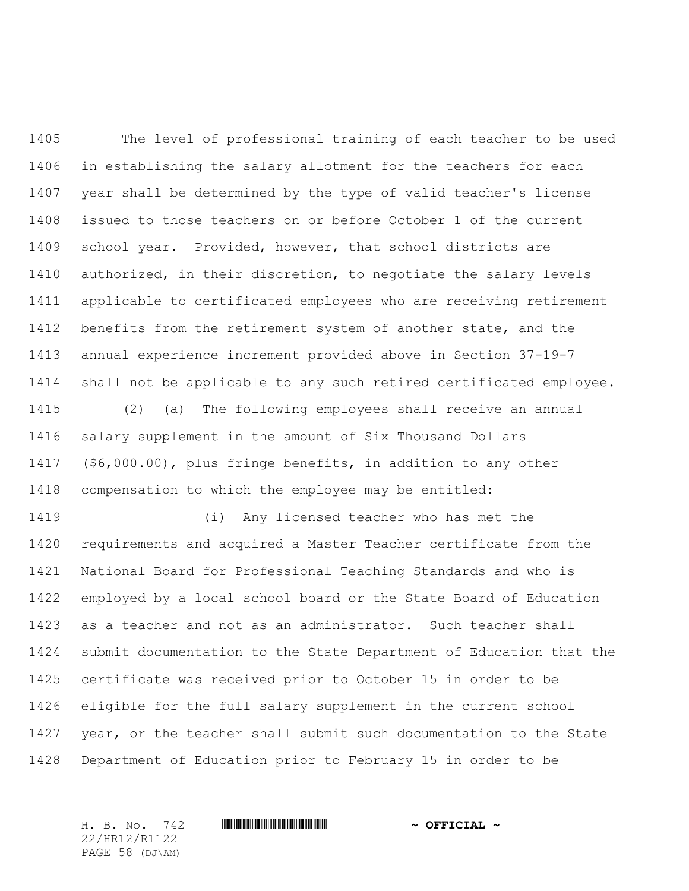The level of professional training of each teacher to be used in establishing the salary allotment for the teachers for each year shall be determined by the type of valid teacher's license issued to those teachers on or before October 1 of the current school year. Provided, however, that school districts are authorized, in their discretion, to negotiate the salary levels applicable to certificated employees who are receiving retirement benefits from the retirement system of another state, and the annual experience increment provided above in Section 37-19-7 shall not be applicable to any such retired certificated employee. (2) (a) The following employees shall receive an annual salary supplement in the amount of Six Thousand Dollars

 (\$6,000.00), plus fringe benefits, in addition to any other compensation to which the employee may be entitled:

 (i) Any licensed teacher who has met the requirements and acquired a Master Teacher certificate from the National Board for Professional Teaching Standards and who is employed by a local school board or the State Board of Education as a teacher and not as an administrator. Such teacher shall submit documentation to the State Department of Education that the certificate was received prior to October 15 in order to be eligible for the full salary supplement in the current school year, or the teacher shall submit such documentation to the State Department of Education prior to February 15 in order to be

22/HR12/R1122 PAGE 58 (DJ\AM)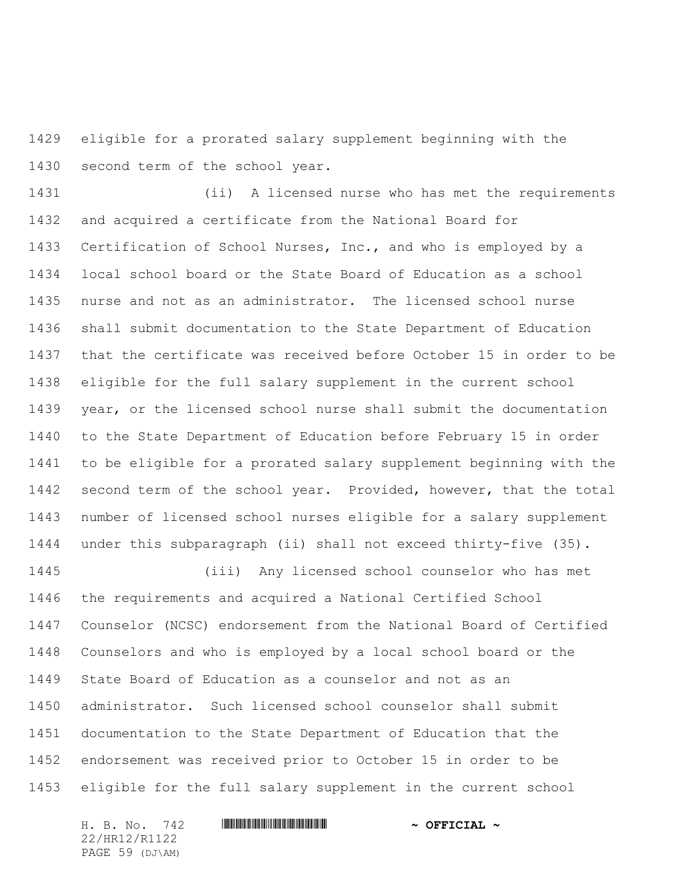eligible for a prorated salary supplement beginning with the second term of the school year.

 (ii) A licensed nurse who has met the requirements and acquired a certificate from the National Board for Certification of School Nurses, Inc., and who is employed by a local school board or the State Board of Education as a school nurse and not as an administrator. The licensed school nurse shall submit documentation to the State Department of Education that the certificate was received before October 15 in order to be eligible for the full salary supplement in the current school year, or the licensed school nurse shall submit the documentation to the State Department of Education before February 15 in order to be eligible for a prorated salary supplement beginning with the 1442 second term of the school year. Provided, however, that the total number of licensed school nurses eligible for a salary supplement under this subparagraph (ii) shall not exceed thirty-five (35).

 (iii) Any licensed school counselor who has met the requirements and acquired a National Certified School Counselor (NCSC) endorsement from the National Board of Certified Counselors and who is employed by a local school board or the State Board of Education as a counselor and not as an administrator. Such licensed school counselor shall submit documentation to the State Department of Education that the endorsement was received prior to October 15 in order to be eligible for the full salary supplement in the current school

H. B. No. 742 \*HR12/R1122\* **~ OFFICIAL ~** 22/HR12/R1122 PAGE 59 (DJ\AM)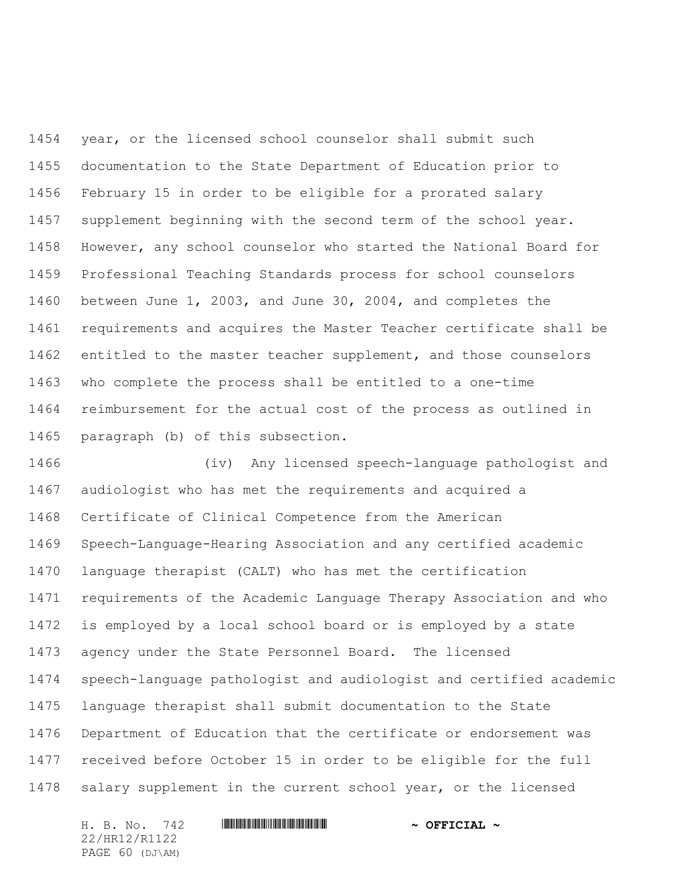year, or the licensed school counselor shall submit such documentation to the State Department of Education prior to February 15 in order to be eligible for a prorated salary supplement beginning with the second term of the school year. However, any school counselor who started the National Board for Professional Teaching Standards process for school counselors between June 1, 2003, and June 30, 2004, and completes the requirements and acquires the Master Teacher certificate shall be entitled to the master teacher supplement, and those counselors who complete the process shall be entitled to a one-time reimbursement for the actual cost of the process as outlined in paragraph (b) of this subsection.

 (iv) Any licensed speech-language pathologist and audiologist who has met the requirements and acquired a Certificate of Clinical Competence from the American Speech-Language-Hearing Association and any certified academic language therapist (CALT) who has met the certification requirements of the Academic Language Therapy Association and who is employed by a local school board or is employed by a state agency under the State Personnel Board. The licensed speech-language pathologist and audiologist and certified academic language therapist shall submit documentation to the State Department of Education that the certificate or endorsement was received before October 15 in order to be eligible for the full salary supplement in the current school year, or the licensed

22/HR12/R1122 PAGE 60 (DJ\AM)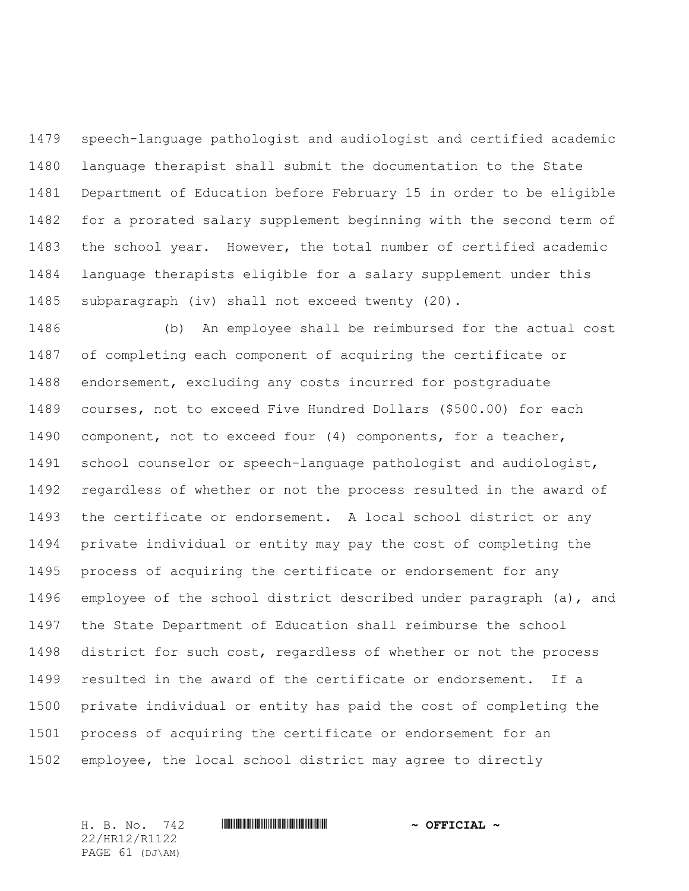speech-language pathologist and audiologist and certified academic language therapist shall submit the documentation to the State Department of Education before February 15 in order to be eligible for a prorated salary supplement beginning with the second term of the school year. However, the total number of certified academic language therapists eligible for a salary supplement under this subparagraph (iv) shall not exceed twenty (20).

 (b) An employee shall be reimbursed for the actual cost of completing each component of acquiring the certificate or endorsement, excluding any costs incurred for postgraduate courses, not to exceed Five Hundred Dollars (\$500.00) for each component, not to exceed four (4) components, for a teacher, school counselor or speech-language pathologist and audiologist, regardless of whether or not the process resulted in the award of the certificate or endorsement. A local school district or any private individual or entity may pay the cost of completing the process of acquiring the certificate or endorsement for any employee of the school district described under paragraph (a), and the State Department of Education shall reimburse the school district for such cost, regardless of whether or not the process resulted in the award of the certificate or endorsement. If a private individual or entity has paid the cost of completing the process of acquiring the certificate or endorsement for an employee, the local school district may agree to directly

22/HR12/R1122 PAGE 61 (DJ\AM)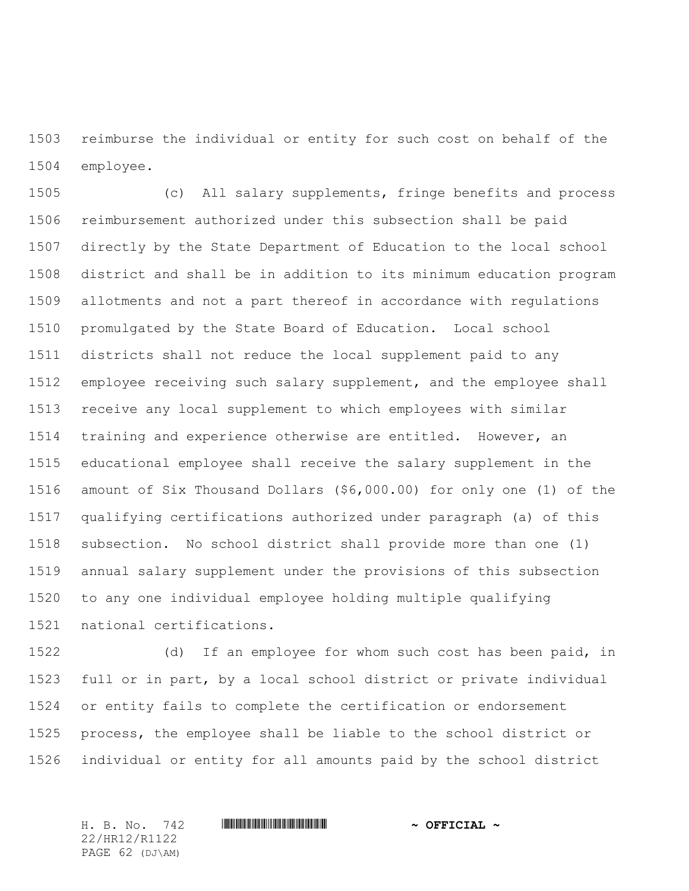reimburse the individual or entity for such cost on behalf of the employee.

 (c) All salary supplements, fringe benefits and process reimbursement authorized under this subsection shall be paid directly by the State Department of Education to the local school district and shall be in addition to its minimum education program allotments and not a part thereof in accordance with regulations promulgated by the State Board of Education. Local school districts shall not reduce the local supplement paid to any employee receiving such salary supplement, and the employee shall receive any local supplement to which employees with similar training and experience otherwise are entitled. However, an educational employee shall receive the salary supplement in the amount of Six Thousand Dollars (\$6,000.00) for only one (1) of the qualifying certifications authorized under paragraph (a) of this subsection. No school district shall provide more than one (1) annual salary supplement under the provisions of this subsection to any one individual employee holding multiple qualifying national certifications.

 (d) If an employee for whom such cost has been paid, in full or in part, by a local school district or private individual or entity fails to complete the certification or endorsement process, the employee shall be liable to the school district or individual or entity for all amounts paid by the school district

22/HR12/R1122 PAGE 62 (DJ\AM)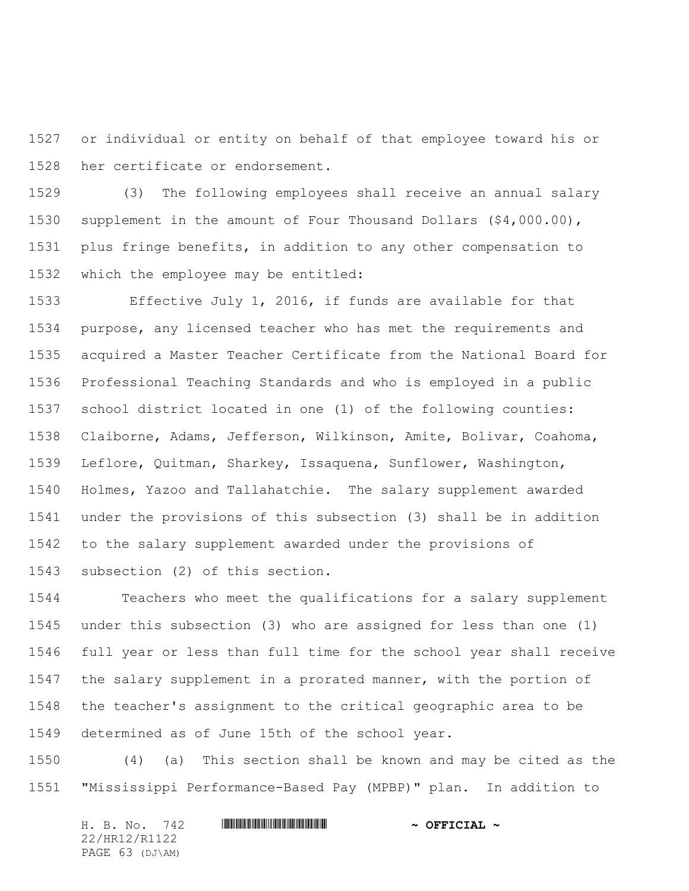or individual or entity on behalf of that employee toward his or her certificate or endorsement.

 (3) The following employees shall receive an annual salary supplement in the amount of Four Thousand Dollars (\$4,000.00), plus fringe benefits, in addition to any other compensation to which the employee may be entitled:

 Effective July 1, 2016, if funds are available for that purpose, any licensed teacher who has met the requirements and acquired a Master Teacher Certificate from the National Board for Professional Teaching Standards and who is employed in a public school district located in one (1) of the following counties: Claiborne, Adams, Jefferson, Wilkinson, Amite, Bolivar, Coahoma, Leflore, Quitman, Sharkey, Issaquena, Sunflower, Washington, Holmes, Yazoo and Tallahatchie. The salary supplement awarded under the provisions of this subsection (3) shall be in addition to the salary supplement awarded under the provisions of subsection (2) of this section.

 Teachers who meet the qualifications for a salary supplement under this subsection (3) who are assigned for less than one (1) full year or less than full time for the school year shall receive 1547 the salary supplement in a prorated manner, with the portion of the teacher's assignment to the critical geographic area to be determined as of June 15th of the school year.

 (4) (a) This section shall be known and may be cited as the "Mississippi Performance-Based Pay (MPBP)" plan. In addition to

| H. B. No. 742   |  | $\sim$ OFFICIAL $\sim$ |
|-----------------|--|------------------------|
| 22/HR12/R1122   |  |                        |
| PAGE 63 (DJ\AM) |  |                        |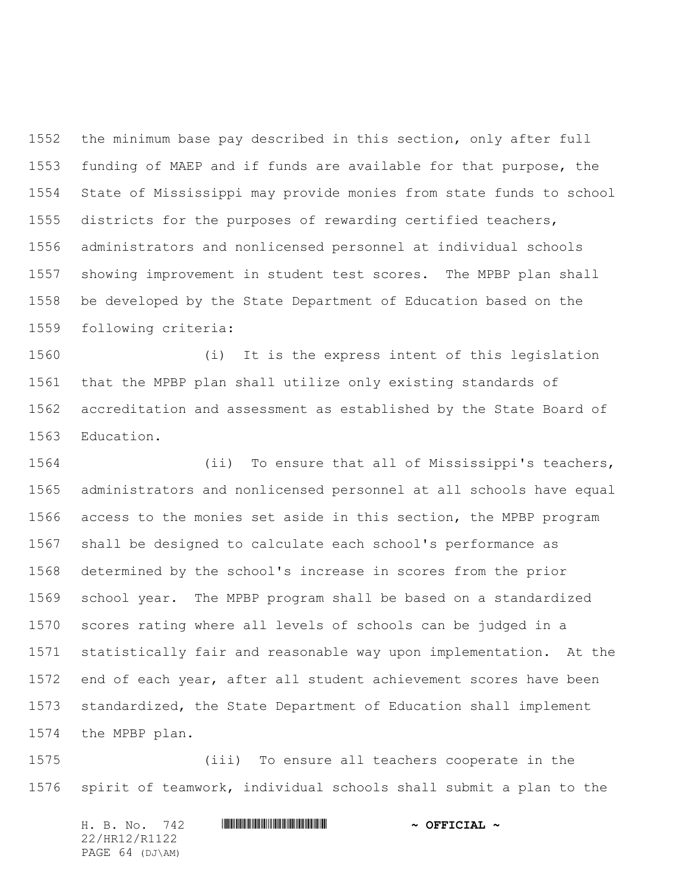the minimum base pay described in this section, only after full funding of MAEP and if funds are available for that purpose, the State of Mississippi may provide monies from state funds to school districts for the purposes of rewarding certified teachers, administrators and nonlicensed personnel at individual schools showing improvement in student test scores. The MPBP plan shall be developed by the State Department of Education based on the following criteria:

 (i) It is the express intent of this legislation that the MPBP plan shall utilize only existing standards of accreditation and assessment as established by the State Board of Education.

 (ii) To ensure that all of Mississippi's teachers, administrators and nonlicensed personnel at all schools have equal access to the monies set aside in this section, the MPBP program shall be designed to calculate each school's performance as determined by the school's increase in scores from the prior school year. The MPBP program shall be based on a standardized scores rating where all levels of schools can be judged in a statistically fair and reasonable way upon implementation. At the end of each year, after all student achievement scores have been standardized, the State Department of Education shall implement the MPBP plan.

 (iii) To ensure all teachers cooperate in the spirit of teamwork, individual schools shall submit a plan to the

|               |  |  | H. B. No. 742   |  |  | $\sim$ OFFICIAL $\sim$ |
|---------------|--|--|-----------------|--|--|------------------------|
| 22/HR12/R1122 |  |  |                 |  |  |                        |
|               |  |  | PAGE 64 (DJ\AM) |  |  |                        |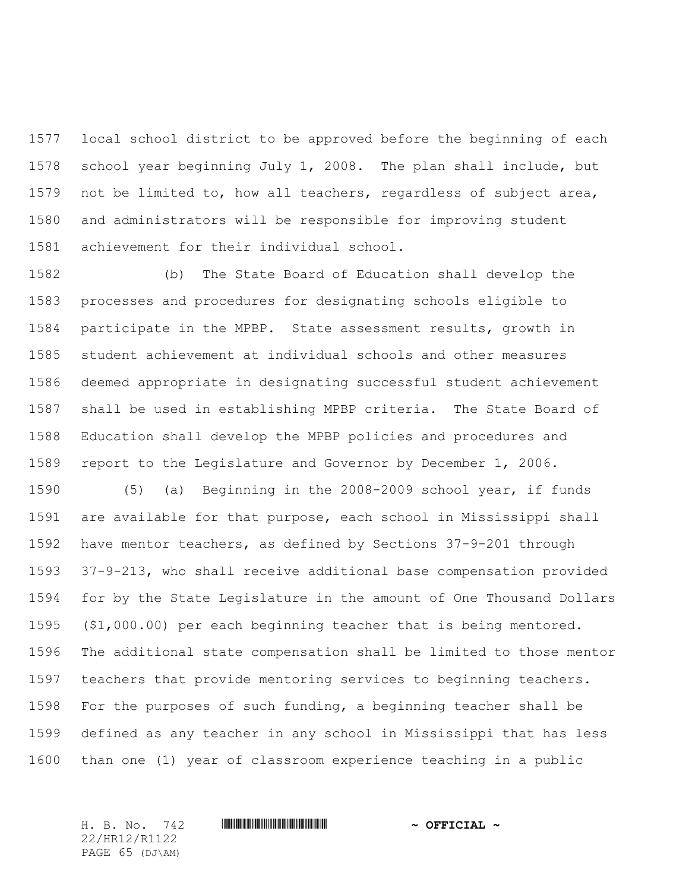local school district to be approved before the beginning of each school year beginning July 1, 2008. The plan shall include, but not be limited to, how all teachers, regardless of subject area, and administrators will be responsible for improving student achievement for their individual school.

 (b) The State Board of Education shall develop the processes and procedures for designating schools eligible to participate in the MPBP. State assessment results, growth in student achievement at individual schools and other measures deemed appropriate in designating successful student achievement shall be used in establishing MPBP criteria. The State Board of Education shall develop the MPBP policies and procedures and report to the Legislature and Governor by December 1, 2006.

 (5) (a) Beginning in the 2008-2009 school year, if funds are available for that purpose, each school in Mississippi shall have mentor teachers, as defined by Sections 37-9-201 through 37-9-213, who shall receive additional base compensation provided for by the State Legislature in the amount of One Thousand Dollars (\$1,000.00) per each beginning teacher that is being mentored. The additional state compensation shall be limited to those mentor teachers that provide mentoring services to beginning teachers. For the purposes of such funding, a beginning teacher shall be defined as any teacher in any school in Mississippi that has less than one (1) year of classroom experience teaching in a public

22/HR12/R1122 PAGE 65 (DJ\AM)